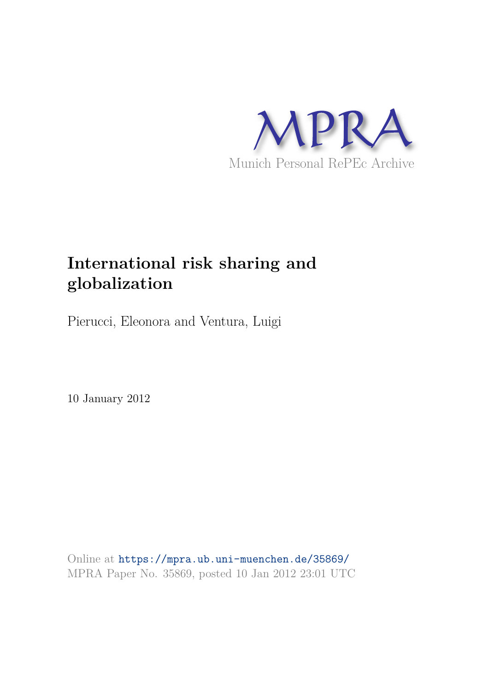

# **International risk sharing and globalization**

Pierucci, Eleonora and Ventura, Luigi

10 January 2012

Online at https://mpra.ub.uni-muenchen.de/35869/ MPRA Paper No. 35869, posted 10 Jan 2012 23:01 UTC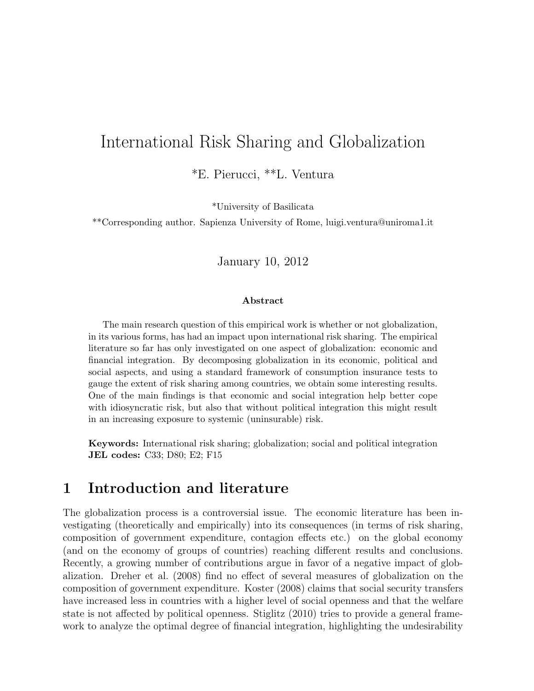## International Risk Sharing and Globalization

\*E. Pierucci, \*\*L. Ventura

\*University of Basilicata

\*\*Corresponding author. Sapienza University of Rome, luigi.ventura@uniroma1.it

January 10, 2012

#### Abstract

The main research question of this empirical work is whether or not globalization, in its various forms, has had an impact upon international risk sharing. The empirical literature so far has only investigated on one aspect of globalization: economic and financial integration. By decomposing globalization in its economic, political and social aspects, and using a standard framework of consumption insurance tests to gauge the extent of risk sharing among countries, we obtain some interesting results. One of the main findings is that economic and social integration help better cope with idiosyncratic risk, but also that without political integration this might result in an increasing exposure to systemic (uninsurable) risk.

Keywords: International risk sharing; globalization; social and political integration JEL codes: C33; D80; E2; F15

## 1 Introduction and literature

The globalization process is a controversial issue. The economic literature has been investigating (theoretically and empirically) into its consequences (in terms of risk sharing, composition of government expenditure, contagion effects etc.) on the global economy (and on the economy of groups of countries) reaching different results and conclusions. Recently, a growing number of contributions argue in favor of a negative impact of globalization. Dreher et al. (2008) find no effect of several measures of globalization on the composition of government expenditure. Koster (2008) claims that social security transfers have increased less in countries with a higher level of social openness and that the welfare state is not affected by political openness. Stiglitz (2010) tries to provide a general framework to analyze the optimal degree of financial integration, highlighting the undesirability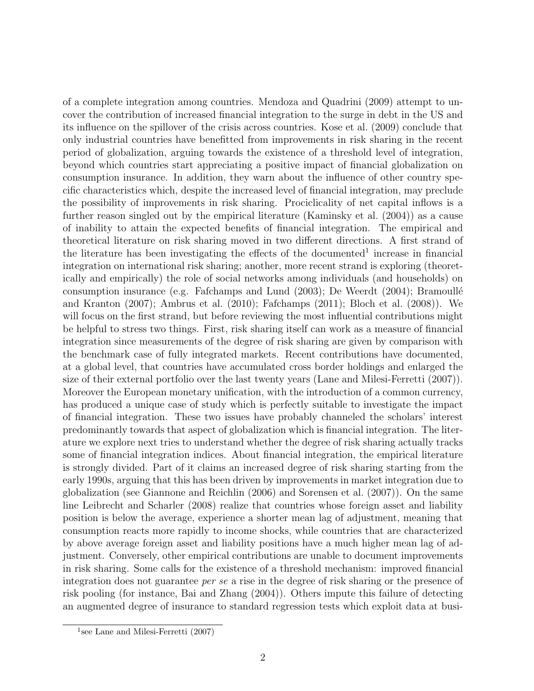of a complete integration among countries. Mendoza and Quadrini (2009) attempt to uncover the contribution of increased financial integration to the surge in debt in the US and its influence on the spillover of the crisis across countries. Kose et al. (2009) conclude that only industrial countries have benefitted from improvements in risk sharing in the recent period of globalization, arguing towards the existence of a threshold level of integration, beyond which countries start appreciating a positive impact of financial globalization on consumption insurance. In addition, they warn about the influence of other country specific characteristics which, despite the increased level of financial integration, may preclude the possibility of improvements in risk sharing. Prociclicality of net capital inflows is a further reason singled out by the empirical literature (Kaminsky et al. (2004)) as a cause of inability to attain the expected benefits of financial integration. The empirical and theoretical literature on risk sharing moved in two different directions. A first strand of the literature has been investigating the effects of the documented<sup>1</sup> increase in financial integration on international risk sharing; another, more recent strand is exploring (theoretically and empirically) the role of social networks among individuals (and households) on consumption insurance (e.g. Fafchamps and Lund  $(2003)$ ; De Weerdt  $(2004)$ ; Bramoullé and Kranton (2007); Ambrus et al. (2010); Fafchamps (2011); Bloch et al. (2008)). We will focus on the first strand, but before reviewing the most influential contributions might be helpful to stress two things. First, risk sharing itself can work as a measure of financial integration since measurements of the degree of risk sharing are given by comparison with the benchmark case of fully integrated markets. Recent contributions have documented, at a global level, that countries have accumulated cross border holdings and enlarged the size of their external portfolio over the last twenty years (Lane and Milesi-Ferretti (2007)). Moreover the European monetary unification, with the introduction of a common currency, has produced a unique case of study which is perfectly suitable to investigate the impact of financial integration. These two issues have probably channeled the scholars' interest predominantly towards that aspect of globalization which is financial integration. The literature we explore next tries to understand whether the degree of risk sharing actually tracks some of financial integration indices. About financial integration, the empirical literature is strongly divided. Part of it claims an increased degree of risk sharing starting from the early 1990s, arguing that this has been driven by improvements in market integration due to globalization (see Giannone and Reichlin (2006) and Sorensen et al. (2007)). On the same line Leibrecht and Scharler (2008) realize that countries whose foreign asset and liability position is below the average, experience a shorter mean lag of adjustment, meaning that consumption reacts more rapidly to income shocks, while countries that are characterized by above average foreign asset and liability positions have a much higher mean lag of adjustment. Conversely, other empirical contributions are unable to document improvements in risk sharing. Some calls for the existence of a threshold mechanism: improved financial integration does not guarantee per se a rise in the degree of risk sharing or the presence of risk pooling (for instance, Bai and Zhang (2004)). Others impute this failure of detecting an augmented degree of insurance to standard regression tests which exploit data at busi-

<sup>&</sup>lt;sup>1</sup>see Lane and Milesi-Ferretti  $(2007)$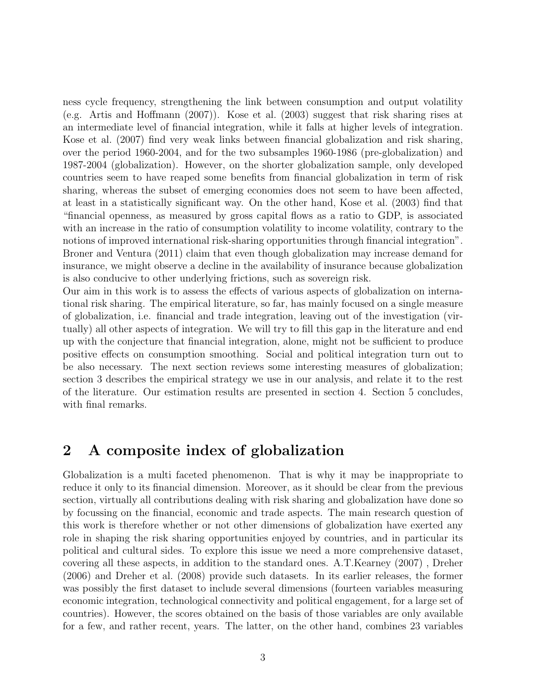ness cycle frequency, strengthening the link between consumption and output volatility (e.g. Artis and Hoffmann (2007)). Kose et al. (2003) suggest that risk sharing rises at an intermediate level of financial integration, while it falls at higher levels of integration. Kose et al. (2007) find very weak links between financial globalization and risk sharing, over the period 1960-2004, and for the two subsamples 1960-1986 (pre-globalization) and 1987-2004 (globalization). However, on the shorter globalization sample, only developed countries seem to have reaped some benefits from financial globalization in term of risk sharing, whereas the subset of emerging economies does not seem to have been affected, at least in a statistically significant way. On the other hand, Kose et al. (2003) find that "financial openness, as measured by gross capital flows as a ratio to GDP, is associated with an increase in the ratio of consumption volatility to income volatility, contrary to the notions of improved international risk-sharing opportunities through financial integration". Broner and Ventura (2011) claim that even though globalization may increase demand for insurance, we might observe a decline in the availability of insurance because globalization is also conducive to other underlying frictions, such as sovereign risk.

Our aim in this work is to assess the effects of various aspects of globalization on international risk sharing. The empirical literature, so far, has mainly focused on a single measure of globalization, i.e. financial and trade integration, leaving out of the investigation (virtually) all other aspects of integration. We will try to fill this gap in the literature and end up with the conjecture that financial integration, alone, might not be sufficient to produce positive effects on consumption smoothing. Social and political integration turn out to be also necessary. The next section reviews some interesting measures of globalization; section 3 describes the empirical strategy we use in our analysis, and relate it to the rest of the literature. Our estimation results are presented in section 4. Section 5 concludes, with final remarks.

## 2 A composite index of globalization

Globalization is a multi faceted phenomenon. That is why it may be inappropriate to reduce it only to its financial dimension. Moreover, as it should be clear from the previous section, virtually all contributions dealing with risk sharing and globalization have done so by focussing on the financial, economic and trade aspects. The main research question of this work is therefore whether or not other dimensions of globalization have exerted any role in shaping the risk sharing opportunities enjoyed by countries, and in particular its political and cultural sides. To explore this issue we need a more comprehensive dataset, covering all these aspects, in addition to the standard ones. A.T.Kearney (2007) , Dreher (2006) and Dreher et al. (2008) provide such datasets. In its earlier releases, the former was possibly the first dataset to include several dimensions (fourteen variables measuring economic integration, technological connectivity and political engagement, for a large set of countries). However, the scores obtained on the basis of those variables are only available for a few, and rather recent, years. The latter, on the other hand, combines 23 variables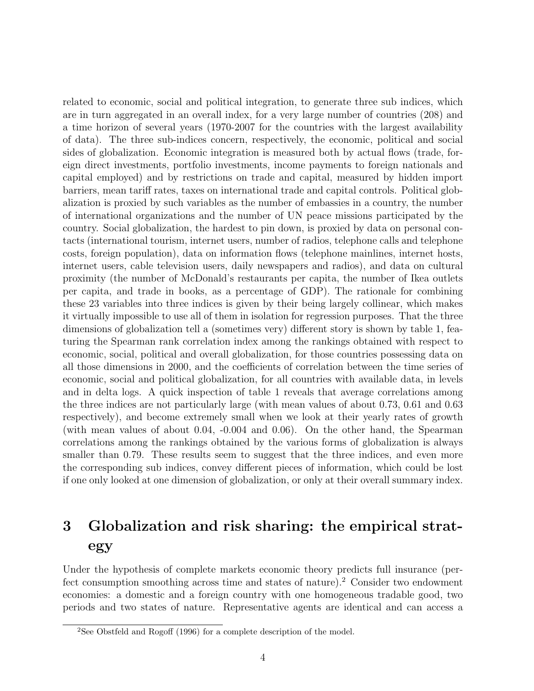related to economic, social and political integration, to generate three sub indices, which are in turn aggregated in an overall index, for a very large number of countries (208) and a time horizon of several years (1970-2007 for the countries with the largest availability of data). The three sub-indices concern, respectively, the economic, political and social sides of globalization. Economic integration is measured both by actual flows (trade, foreign direct investments, portfolio investments, income payments to foreign nationals and capital employed) and by restrictions on trade and capital, measured by hidden import barriers, mean tariff rates, taxes on international trade and capital controls. Political globalization is proxied by such variables as the number of embassies in a country, the number of international organizations and the number of UN peace missions participated by the country. Social globalization, the hardest to pin down, is proxied by data on personal contacts (international tourism, internet users, number of radios, telephone calls and telephone costs, foreign population), data on information flows (telephone mainlines, internet hosts, internet users, cable television users, daily newspapers and radios), and data on cultural proximity (the number of McDonald's restaurants per capita, the number of Ikea outlets per capita, and trade in books, as a percentage of GDP). The rationale for combining these 23 variables into three indices is given by their being largely collinear, which makes it virtually impossible to use all of them in isolation for regression purposes. That the three dimensions of globalization tell a (sometimes very) different story is shown by table 1, featuring the Spearman rank correlation index among the rankings obtained with respect to economic, social, political and overall globalization, for those countries possessing data on all those dimensions in 2000, and the coefficients of correlation between the time series of economic, social and political globalization, for all countries with available data, in levels and in delta logs. A quick inspection of table 1 reveals that average correlations among the three indices are not particularly large (with mean values of about 0.73, 0.61 and 0.63 respectively), and become extremely small when we look at their yearly rates of growth (with mean values of about 0.04, -0.004 and 0.06). On the other hand, the Spearman correlations among the rankings obtained by the various forms of globalization is always smaller than 0.79. These results seem to suggest that the three indices, and even more the corresponding sub indices, convey different pieces of information, which could be lost if one only looked at one dimension of globalization, or only at their overall summary index.

# 3 Globalization and risk sharing: the empirical strategy

Under the hypothesis of complete markets economic theory predicts full insurance (perfect consumption smoothing across time and states of nature).<sup>2</sup> Consider two endowment economies: a domestic and a foreign country with one homogeneous tradable good, two periods and two states of nature. Representative agents are identical and can access a

<sup>2</sup>See Obstfeld and Rogoff (1996) for a complete description of the model.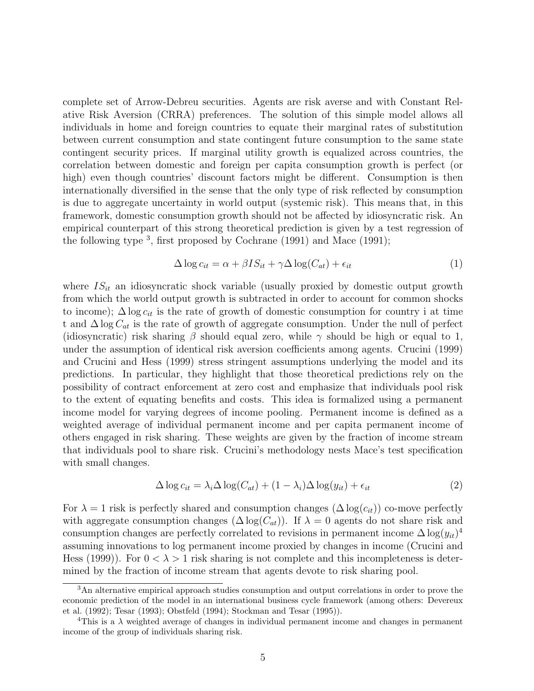complete set of Arrow-Debreu securities. Agents are risk averse and with Constant Relative Risk Aversion (CRRA) preferences. The solution of this simple model allows all individuals in home and foreign countries to equate their marginal rates of substitution between current consumption and state contingent future consumption to the same state contingent security prices. If marginal utility growth is equalized across countries, the correlation between domestic and foreign per capita consumption growth is perfect (or high) even though countries' discount factors might be different. Consumption is then internationally diversified in the sense that the only type of risk reflected by consumption is due to aggregate uncertainty in world output (systemic risk). This means that, in this framework, domestic consumption growth should not be affected by idiosyncratic risk. An empirical counterpart of this strong theoretical prediction is given by a test regression of the following type  $3$ , first proposed by Cochrane (1991) and Mace (1991);

$$
\Delta \log c_{it} = \alpha + \beta I S_{it} + \gamma \Delta \log(C_{at}) + \epsilon_{it} \tag{1}
$$

where  $IS_{it}$  an idiosyncratic shock variable (usually proxied by domestic output growth from which the world output growth is subtracted in order to account for common shocks to income);  $\Delta \log c_{it}$  is the rate of growth of domestic consumption for country i at time t and  $\Delta \log C_{at}$  is the rate of growth of aggregate consumption. Under the null of perfect (idiosyncratic) risk sharing  $\beta$  should equal zero, while  $\gamma$  should be high or equal to 1, under the assumption of identical risk aversion coefficients among agents. Crucini (1999) and Crucini and Hess (1999) stress stringent assumptions underlying the model and its predictions. In particular, they highlight that those theoretical predictions rely on the possibility of contract enforcement at zero cost and emphasize that individuals pool risk to the extent of equating benefits and costs. This idea is formalized using a permanent income model for varying degrees of income pooling. Permanent income is defined as a weighted average of individual permanent income and per capita permanent income of others engaged in risk sharing. These weights are given by the fraction of income stream that individuals pool to share risk. Crucini's methodology nests Mace's test specification with small changes.

$$
\Delta \log c_{it} = \lambda_i \Delta \log(C_{at}) + (1 - \lambda_i) \Delta \log(y_{it}) + \epsilon_{it}
$$
\n(2)

For  $\lambda = 1$  risk is perfectly shared and consumption changes  $(\Delta \log(c_{it}))$  co-move perfectly with aggregate consumption changes  $(\Delta \log(C_{at}))$ . If  $\lambda = 0$  agents do not share risk and consumption changes are perfectly correlated to revisions in permanent income  $\Delta \log(y_{it})^4$ assuming innovations to log permanent income proxied by changes in income (Crucini and Hess (1999)). For  $0 < \lambda > 1$  risk sharing is not complete and this incompleteness is determined by the fraction of income stream that agents devote to risk sharing pool.

<sup>3</sup>An alternative empirical approach studies consumption and output correlations in order to prove the economic prediction of the model in an international business cycle framework (among others: Devereux et al. (1992); Tesar (1993); Obstfeld (1994); Stockman and Tesar (1995)).

<sup>&</sup>lt;sup>4</sup>This is a  $\lambda$  weighted average of changes in individual permanent income and changes in permanent income of the group of individuals sharing risk.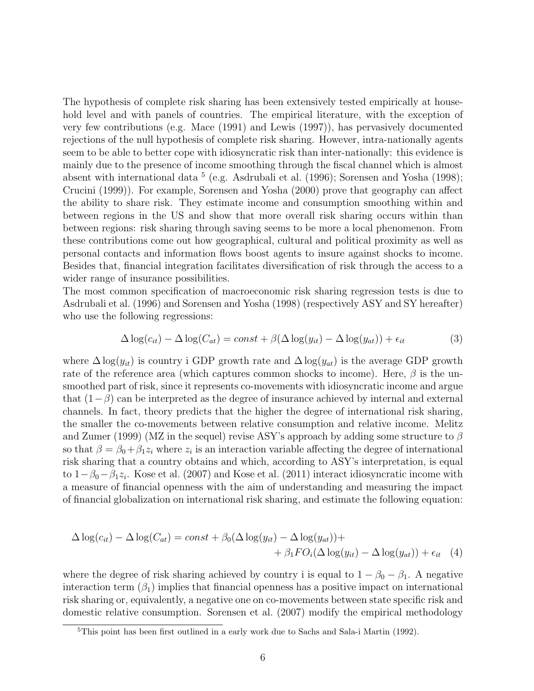The hypothesis of complete risk sharing has been extensively tested empirically at household level and with panels of countries. The empirical literature, with the exception of very few contributions (e.g. Mace (1991) and Lewis (1997)), has pervasively documented rejections of the null hypothesis of complete risk sharing. However, intra-nationally agents seem to be able to better cope with idiosyncratic risk than inter-nationally: this evidence is mainly due to the presence of income smoothing through the fiscal channel which is almost absent with international data <sup>5</sup> (e.g. Asdrubali et al. (1996); Sorensen and Yosha (1998); Crucini (1999)). For example, Sorensen and Yosha (2000) prove that geography can affect the ability to share risk. They estimate income and consumption smoothing within and between regions in the US and show that more overall risk sharing occurs within than between regions: risk sharing through saving seems to be more a local phenomenon. From these contributions come out how geographical, cultural and political proximity as well as personal contacts and information flows boost agents to insure against shocks to income. Besides that, financial integration facilitates diversification of risk through the access to a wider range of insurance possibilities.

The most common specification of macroeconomic risk sharing regression tests is due to Asdrubali et al. (1996) and Sorensen and Yosha (1998) (respectively ASY and SY hereafter) who use the following regressions:

$$
\Delta \log(c_{it}) - \Delta \log(C_{at}) = const + \beta(\Delta \log(y_{it}) - \Delta \log(y_{at})) + \epsilon_{it}
$$
\n(3)

where  $\Delta \log(y_{it})$  is country i GDP growth rate and  $\Delta \log(y_{at})$  is the average GDP growth rate of the reference area (which captures common shocks to income). Here,  $\beta$  is the unsmoothed part of risk, since it represents co-movements with idiosyncratic income and argue that  $(1-\beta)$  can be interpreted as the degree of insurance achieved by internal and external channels. In fact, theory predicts that the higher the degree of international risk sharing, the smaller the co-movements between relative consumption and relative income. Melitz and Zumer (1999) (MZ in the sequel) revise ASY's approach by adding some structure to  $\beta$ so that  $\beta = \beta_0 + \beta_1 z_i$  where  $z_i$  is an interaction variable affecting the degree of international risk sharing that a country obtains and which, according to ASY's interpretation, is equal to  $1-\beta_0-\beta_1z_i$ . Kose et al. (2007) and Kose et al. (2011) interact idiosyncratic income with a measure of financial openness with the aim of understanding and measuring the impact of financial globalization on international risk sharing, and estimate the following equation:

$$
\Delta \log(c_{it}) - \Delta \log(C_{at}) = const + \beta_0 (\Delta \log(y_{it}) - \Delta \log(y_{at})) + + \beta_1 FO_i (\Delta \log(y_{it}) - \Delta \log(y_{at})) + \epsilon_{it} \quad (4)
$$

where the degree of risk sharing achieved by country i is equal to  $1 - \beta_0 - \beta_1$ . A negative interaction term  $(\beta_1)$  implies that financial openness has a positive impact on international risk sharing or, equivalently, a negative one on co-movements between state specific risk and domestic relative consumption. Sorensen et al. (2007) modify the empirical methodology

<sup>5</sup>This point has been first outlined in a early work due to Sachs and Sala-i Martin (1992).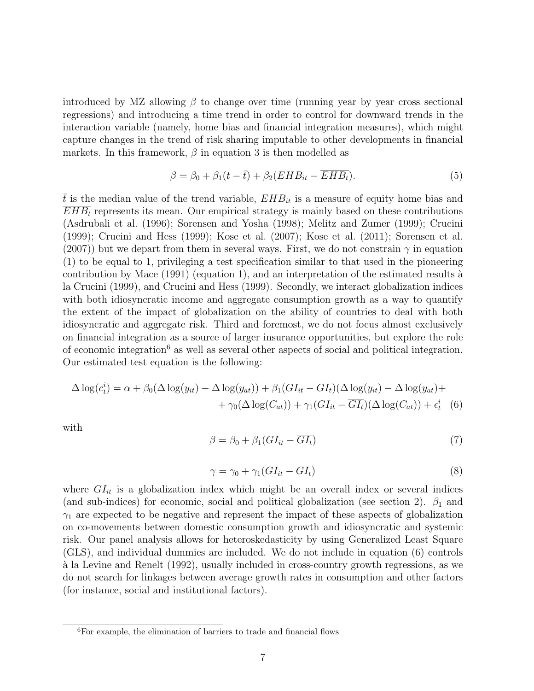introduced by MZ allowing  $\beta$  to change over time (running year by year cross sectional regressions) and introducing a time trend in order to control for downward trends in the interaction variable (namely, home bias and financial integration measures), which might capture changes in the trend of risk sharing imputable to other developments in financial markets. In this framework,  $\beta$  in equation 3 is then modelled as

$$
\beta = \beta_0 + \beta_1 (t - \bar{t}) + \beta_2 (EHB_{it} - \overline{EHB_{t}}). \tag{5}
$$

t is the median value of the trend variable,  $EHB_{it}$  is a measure of equity home bias and  $EHB_t$  represents its mean. Our empirical strategy is mainly based on these contributions (Asdrubali et al. (1996); Sorensen and Yosha (1998); Melitz and Zumer (1999); Crucini (1999); Crucini and Hess (1999); Kose et al. (2007); Kose et al. (2011); Sorensen et al. (2007)) but we depart from them in several ways. First, we do not constrain  $\gamma$  in equation (1) to be equal to 1, privileging a test specification similar to that used in the pioneering contribution by Mace  $(1991)$  (equation 1), and an interpretation of the estimated results à la Crucini (1999), and Crucini and Hess (1999). Secondly, we interact globalization indices with both idiosyncratic income and aggregate consumption growth as a way to quantify the extent of the impact of globalization on the ability of countries to deal with both idiosyncratic and aggregate risk. Third and foremost, we do not focus almost exclusively on financial integration as a source of larger insurance opportunities, but explore the role of economic integration<sup>6</sup> as well as several other aspects of social and political integration. Our estimated test equation is the following:

$$
\Delta \log(c_t^i) = \alpha + \beta_0 (\Delta \log(y_{it}) - \Delta \log(y_{at})) + \beta_1 (GI_{it} - \overline{GI_t})(\Delta \log(y_{it}) - \Delta \log(y_{at})) + + \gamma_0 (\Delta \log(C_{at})) + \gamma_1 (GI_{it} - \overline{GI_t})(\Delta \log(C_{at})) + \epsilon_t^i
$$
(6)

with

$$
\beta = \beta_0 + \beta_1 (GI_{it} - \overline{GI_t}) \tag{7}
$$

$$
\gamma = \gamma_0 + \gamma_1 (GI_{it} - \overline{GI_t}) \tag{8}
$$

where  $GI_{it}$  is a globalization index which might be an overall index or several indices (and sub-indices) for economic, social and political globalization (see section 2).  $\beta_1$  and  $\gamma_1$  are expected to be negative and represent the impact of these aspects of globalization on co-movements between domestic consumption growth and idiosyncratic and systemic risk. Our panel analysis allows for heteroskedasticity by using Generalized Least Square (GLS), and individual dummies are included. We do not include in equation (6) controls `a la Levine and Renelt (1992), usually included in cross-country growth regressions, as we do not search for linkages between average growth rates in consumption and other factors (for instance, social and institutional factors).

<sup>6</sup>For example, the elimination of barriers to trade and financial flows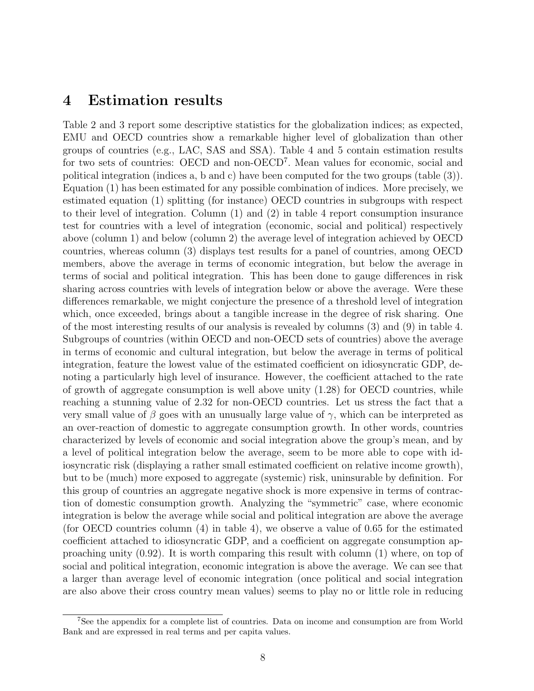### 4 Estimation results

Table 2 and 3 report some descriptive statistics for the globalization indices; as expected, EMU and OECD countries show a remarkable higher level of globalization than other groups of countries (e.g., LAC, SAS and SSA). Table 4 and 5 contain estimation results for two sets of countries: OECD and non-OECD<sup>7</sup>. Mean values for economic, social and political integration (indices a, b and c) have been computed for the two groups (table (3)). Equation (1) has been estimated for any possible combination of indices. More precisely, we estimated equation (1) splitting (for instance) OECD countries in subgroups with respect to their level of integration. Column (1) and (2) in table 4 report consumption insurance test for countries with a level of integration (economic, social and political) respectively above (column 1) and below (column 2) the average level of integration achieved by OECD countries, whereas column (3) displays test results for a panel of countries, among OECD members, above the average in terms of economic integration, but below the average in terms of social and political integration. This has been done to gauge differences in risk sharing across countries with levels of integration below or above the average. Were these differences remarkable, we might conjecture the presence of a threshold level of integration which, once exceeded, brings about a tangible increase in the degree of risk sharing. One of the most interesting results of our analysis is revealed by columns (3) and (9) in table 4. Subgroups of countries (within OECD and non-OECD sets of countries) above the average in terms of economic and cultural integration, but below the average in terms of political integration, feature the lowest value of the estimated coefficient on idiosyncratic GDP, denoting a particularly high level of insurance. However, the coefficient attached to the rate of growth of aggregate consumption is well above unity  $(1.28)$  for OECD countries, while reaching a stunning value of 2.32 for non-OECD countries. Let us stress the fact that a very small value of  $\beta$  goes with an unusually large value of  $\gamma$ , which can be interpreted as an over-reaction of domestic to aggregate consumption growth. In other words, countries characterized by levels of economic and social integration above the group's mean, and by a level of political integration below the average, seem to be more able to cope with idiosyncratic risk (displaying a rather small estimated coefficient on relative income growth), but to be (much) more exposed to aggregate (systemic) risk, uninsurable by definition. For this group of countries an aggregate negative shock is more expensive in terms of contraction of domestic consumption growth. Analyzing the "symmetric" case, where economic integration is below the average while social and political integration are above the average (for OECD countries column  $(4)$  in table 4), we observe a value of 0.65 for the estimated coefficient attached to idiosyncratic GDP, and a coefficient on aggregate consumption approaching unity (0.92). It is worth comparing this result with column (1) where, on top of social and political integration, economic integration is above the average. We can see that a larger than average level of economic integration (once political and social integration are also above their cross country mean values) seems to play no or little role in reducing

<sup>7</sup>See the appendix for a complete list of countries. Data on income and consumption are from World Bank and are expressed in real terms and per capita values.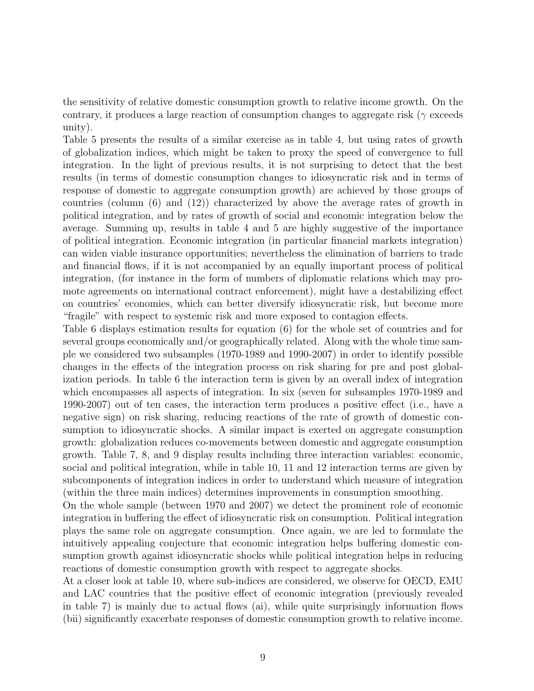the sensitivity of relative domestic consumption growth to relative income growth. On the contrary, it produces a large reaction of consumption changes to aggregate risk ( $\gamma$  exceeds unity).

Table 5 presents the results of a similar exercise as in table 4, but using rates of growth of globalization indices, which might be taken to proxy the speed of convergence to full integration. In the light of previous results, it is not surprising to detect that the best results (in terms of domestic consumption changes to idiosyncratic risk and in terms of response of domestic to aggregate consumption growth) are achieved by those groups of countries (column (6) and (12)) characterized by above the average rates of growth in political integration, and by rates of growth of social and economic integration below the average. Summing up, results in table 4 and 5 are highly suggestive of the importance of political integration. Economic integration (in particular financial markets integration) can widen viable insurance opportunities; nevertheless the elimination of barriers to trade and financial flows, if it is not accompanied by an equally important process of political integration, (for instance in the form of numbers of diplomatic relations which may promote agreements on international contract enforcement), might have a destabilizing effect on countries' economies, which can better diversify idiosyncratic risk, but become more "fragile" with respect to systemic risk and more exposed to contagion effects.

Table 6 displays estimation results for equation (6) for the whole set of countries and for several groups economically and/or geographically related. Along with the whole time sample we considered two subsamples (1970-1989 and 1990-2007) in order to identify possible changes in the effects of the integration process on risk sharing for pre and post globalization periods. In table 6 the interaction term is given by an overall index of integration which encompasses all aspects of integration. In six (seven for subsamples 1970-1989 and 1990-2007) out of ten cases, the interaction term produces a positive effect (i.e., have a negative sign) on risk sharing, reducing reactions of the rate of growth of domestic consumption to idiosyncratic shocks. A similar impact is exerted on aggregate consumption growth: globalization reduces co-movements between domestic and aggregate consumption growth. Table 7, 8, and 9 display results including three interaction variables: economic, social and political integration, while in table 10, 11 and 12 interaction terms are given by subcomponents of integration indices in order to understand which measure of integration (within the three main indices) determines improvements in consumption smoothing.

On the whole sample (between 1970 and 2007) we detect the prominent role of economic integration in buffering the effect of idiosyncratic risk on consumption. Political integration plays the same role on aggregate consumption. Once again, we are led to formulate the intuitively appealing conjecture that economic integration helps buffering domestic consumption growth against idiosyncratic shocks while political integration helps in reducing reactions of domestic consumption growth with respect to aggregate shocks.

At a closer look at table 10, where sub-indices are considered, we observe for OECD, EMU and LAC countries that the positive effect of economic integration (previously revealed in table 7) is mainly due to actual flows (ai), while quite surprisingly information flows (bii) significantly exacerbate responses of domestic consumption growth to relative income.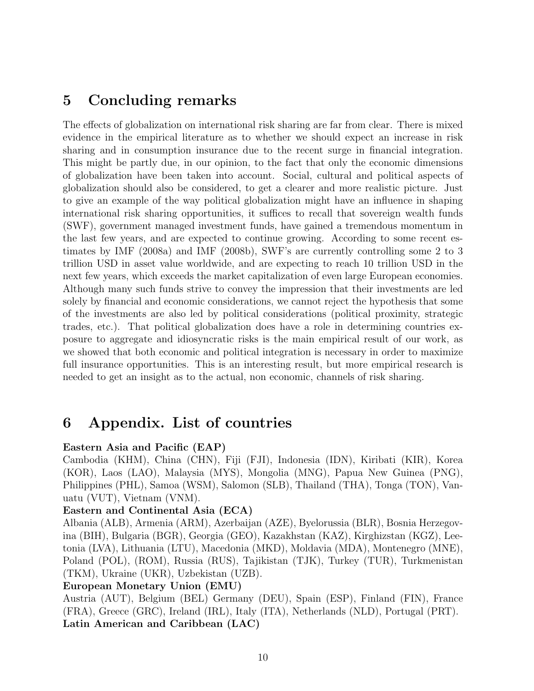## 5 Concluding remarks

The effects of globalization on international risk sharing are far from clear. There is mixed evidence in the empirical literature as to whether we should expect an increase in risk sharing and in consumption insurance due to the recent surge in financial integration. This might be partly due, in our opinion, to the fact that only the economic dimensions of globalization have been taken into account. Social, cultural and political aspects of globalization should also be considered, to get a clearer and more realistic picture. Just to give an example of the way political globalization might have an influence in shaping international risk sharing opportunities, it suffices to recall that sovereign wealth funds (SWF), government managed investment funds, have gained a tremendous momentum in the last few years, and are expected to continue growing. According to some recent estimates by IMF (2008a) and IMF (2008b), SWF's are currently controlling some 2 to 3 trillion USD in asset value worldwide, and are expecting to reach 10 trillion USD in the next few years, which exceeds the market capitalization of even large European economies. Although many such funds strive to convey the impression that their investments are led solely by financial and economic considerations, we cannot reject the hypothesis that some of the investments are also led by political considerations (political proximity, strategic trades, etc.). That political globalization does have a role in determining countries exposure to aggregate and idiosyncratic risks is the main empirical result of our work, as we showed that both economic and political integration is necessary in order to maximize full insurance opportunities. This is an interesting result, but more empirical research is needed to get an insight as to the actual, non economic, channels of risk sharing.

## 6 Appendix. List of countries

#### Eastern Asia and Pacific (EAP)

Cambodia (KHM), China (CHN), Fiji (FJI), Indonesia (IDN), Kiribati (KIR), Korea (KOR), Laos (LAO), Malaysia (MYS), Mongolia (MNG), Papua New Guinea (PNG), Philippines (PHL), Samoa (WSM), Salomon (SLB), Thailand (THA), Tonga (TON), Vanuatu (VUT), Vietnam (VNM).

#### Eastern and Continental Asia (ECA)

Albania (ALB), Armenia (ARM), Azerbaijan (AZE), Byelorussia (BLR), Bosnia Herzegovina (BIH), Bulgaria (BGR), Georgia (GEO), Kazakhstan (KAZ), Kirghizstan (KGZ), Leetonia (LVA), Lithuania (LTU), Macedonia (MKD), Moldavia (MDA), Montenegro (MNE), Poland (POL), (ROM), Russia (RUS), Tajikistan (TJK), Turkey (TUR), Turkmenistan (TKM), Ukraine (UKR), Uzbekistan (UZB).

#### European Monetary Union (EMU)

Austria (AUT), Belgium (BEL) Germany (DEU), Spain (ESP), Finland (FIN), France (FRA), Greece (GRC), Ireland (IRL), Italy (ITA), Netherlands (NLD), Portugal (PRT). Latin American and Caribbean (LAC)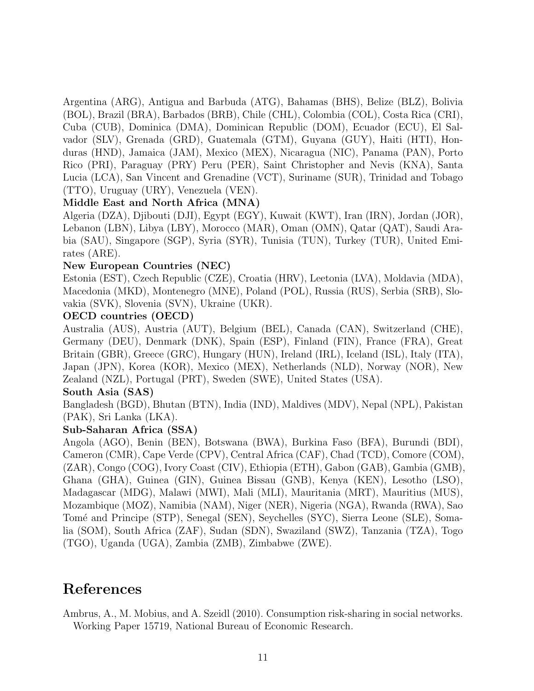Argentina (ARG), Antigua and Barbuda (ATG), Bahamas (BHS), Belize (BLZ), Bolivia (BOL), Brazil (BRA), Barbados (BRB), Chile (CHL), Colombia (COL), Costa Rica (CRI), Cuba (CUB), Dominica (DMA), Dominican Republic (DOM), Ecuador (ECU), El Salvador (SLV), Grenada (GRD), Guatemala (GTM), Guyana (GUY), Haiti (HTI), Honduras (HND), Jamaica (JAM), Mexico (MEX), Nicaragua (NIC), Panama (PAN), Porto Rico (PRI), Paraguay (PRY) Peru (PER), Saint Christopher and Nevis (KNA), Santa Lucia (LCA), San Vincent and Grenadine (VCT), Suriname (SUR), Trinidad and Tobago (TTO), Uruguay (URY), Venezuela (VEN).

#### Middle East and North Africa (MNA)

Algeria (DZA), Djibouti (DJI), Egypt (EGY), Kuwait (KWT), Iran (IRN), Jordan (JOR), Lebanon (LBN), Libya (LBY), Morocco (MAR), Oman (OMN), Qatar (QAT), Saudi Arabia (SAU), Singapore (SGP), Syria (SYR), Tunisia (TUN), Turkey (TUR), United Emirates (ARE).

#### New European Countries (NEC)

Estonia (EST), Czech Republic (CZE), Croatia (HRV), Leetonia (LVA), Moldavia (MDA), Macedonia (MKD), Montenegro (MNE), Poland (POL), Russia (RUS), Serbia (SRB), Slovakia (SVK), Slovenia (SVN), Ukraine (UKR).

#### OECD countries (OECD)

Australia (AUS), Austria (AUT), Belgium (BEL), Canada (CAN), Switzerland (CHE), Germany (DEU), Denmark (DNK), Spain (ESP), Finland (FIN), France (FRA), Great Britain (GBR), Greece (GRC), Hungary (HUN), Ireland (IRL), Iceland (ISL), Italy (ITA), Japan (JPN), Korea (KOR), Mexico (MEX), Netherlands (NLD), Norway (NOR), New Zealand (NZL), Portugal (PRT), Sweden (SWE), United States (USA).

#### South Asia (SAS)

Bangladesh (BGD), Bhutan (BTN), India (IND), Maldives (MDV), Nepal (NPL), Pakistan (PAK), Sri Lanka (LKA).

#### Sub-Saharan Africa (SSA)

Angola (AGO), Benin (BEN), Botswana (BWA), Burkina Faso (BFA), Burundi (BDI), Cameron (CMR), Cape Verde (CPV), Central Africa (CAF), Chad (TCD), Comore (COM), (ZAR), Congo (COG), Ivory Coast (CIV), Ethiopia (ETH), Gabon (GAB), Gambia (GMB), Ghana (GHA), Guinea (GIN), Guinea Bissau (GNB), Kenya (KEN), Lesotho (LSO), Madagascar (MDG), Malawi (MWI), Mali (MLI), Mauritania (MRT), Mauritius (MUS), Mozambique (MOZ), Namibia (NAM), Niger (NER), Nigeria (NGA), Rwanda (RWA), Sao Tomé and Principe (STP), Senegal (SEN), Seychelles (SYC), Sierra Leone (SLE), Somalia (SOM), South Africa (ZAF), Sudan (SDN), Swaziland (SWZ), Tanzania (TZA), Togo (TGO), Uganda (UGA), Zambia (ZMB), Zimbabwe (ZWE).

## References

Ambrus, A., M. Mobius, and A. Szeidl (2010). Consumption risk-sharing in social networks. Working Paper 15719, National Bureau of Economic Research.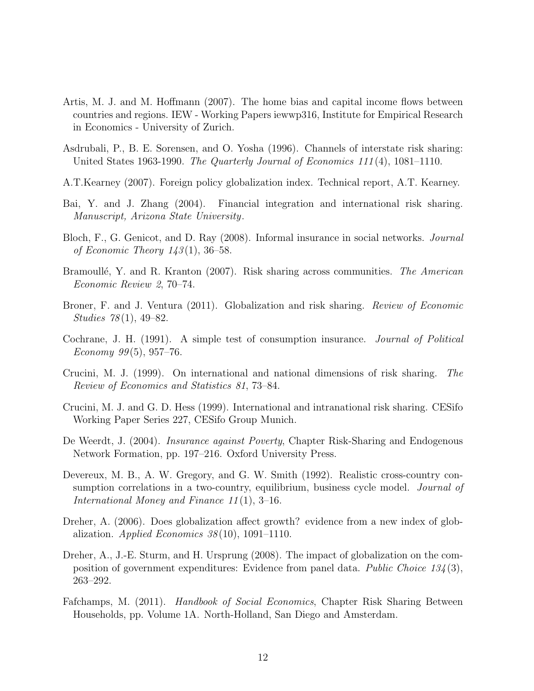- Artis, M. J. and M. Hoffmann (2007). The home bias and capital income flows between countries and regions. IEW - Working Papers iewwp316, Institute for Empirical Research in Economics - University of Zurich.
- Asdrubali, P., B. E. Sorensen, and O. Yosha (1996). Channels of interstate risk sharing: United States 1963-1990. The Quarterly Journal of Economics  $111(4)$ , 1081-1110.
- A.T.Kearney (2007). Foreign policy globalization index. Technical report, A.T. Kearney.
- Bai, Y. and J. Zhang (2004). Financial integration and international risk sharing. Manuscript, Arizona State University.
- Bloch, F., G. Genicot, and D. Ray (2008). Informal insurance in social networks. Journal of Economic Theory  $143(1)$ , 36–58.
- Bramoullé, Y. and R. Kranton (2007). Risk sharing across communities. The American Economic Review 2, 70–74.
- Broner, F. and J. Ventura (2011). Globalization and risk sharing. Review of Economic Studies 78 (1), 49–82.
- Cochrane, J. H. (1991). A simple test of consumption insurance. Journal of Political Economy  $99(5)$ , 957–76.
- Crucini, M. J. (1999). On international and national dimensions of risk sharing. The Review of Economics and Statistics 81, 73–84.
- Crucini, M. J. and G. D. Hess (1999). International and intranational risk sharing. CESifo Working Paper Series 227, CESifo Group Munich.
- De Weerdt, J. (2004). *Insurance against Poverty*, Chapter Risk-Sharing and Endogenous Network Formation, pp. 197–216. Oxford University Press.
- Devereux, M. B., A. W. Gregory, and G. W. Smith (1992). Realistic cross-country consumption correlations in a two-country, equilibrium, business cycle model. *Journal of* International Money and Finance 11 (1), 3–16.
- Dreher, A. (2006). Does globalization affect growth? evidence from a new index of globalization. Applied Economics  $38(10)$ , 1091-1110.
- Dreher, A., J.-E. Sturm, and H. Ursprung (2008). The impact of globalization on the composition of government expenditures: Evidence from panel data. *Public Choice 134* (3), 263–292.
- Fafchamps, M. (2011). *Handbook of Social Economics*, Chapter Risk Sharing Between Households, pp. Volume 1A. North-Holland, San Diego and Amsterdam.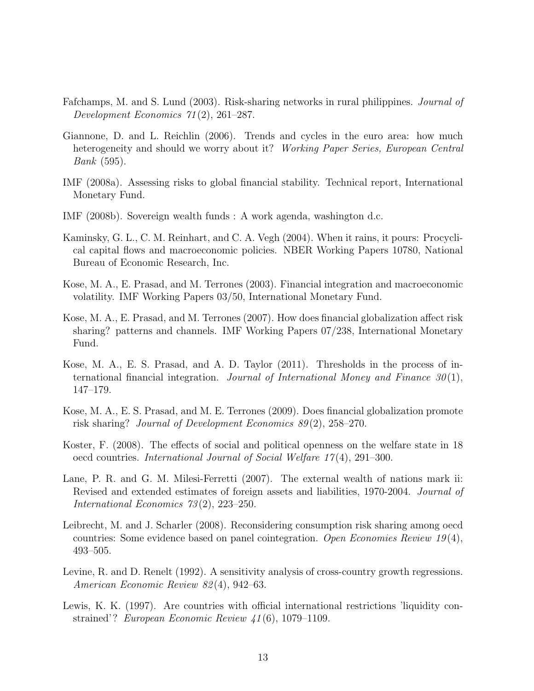- Fafchamps, M. and S. Lund (2003). Risk-sharing networks in rural philippines. Journal of Development Economics 71 (2), 261–287.
- Giannone, D. and L. Reichlin (2006). Trends and cycles in the euro area: how much heterogeneity and should we worry about it? Working Paper Series, European Central Bank (595).
- IMF (2008a). Assessing risks to global financial stability. Technical report, International Monetary Fund.
- IMF (2008b). Sovereign wealth funds : A work agenda, washington d.c.
- Kaminsky, G. L., C. M. Reinhart, and C. A. Vegh (2004). When it rains, it pours: Procyclical capital flows and macroeconomic policies. NBER Working Papers 10780, National Bureau of Economic Research, Inc.
- Kose, M. A., E. Prasad, and M. Terrones (2003). Financial integration and macroeconomic volatility. IMF Working Papers 03/50, International Monetary Fund.
- Kose, M. A., E. Prasad, and M. Terrones (2007). How does financial globalization affect risk sharing? patterns and channels. IMF Working Papers 07/238, International Monetary Fund.
- Kose, M. A., E. S. Prasad, and A. D. Taylor (2011). Thresholds in the process of international financial integration. Journal of International Money and Finance  $30(1)$ , 147–179.
- Kose, M. A., E. S. Prasad, and M. E. Terrones (2009). Does financial globalization promote risk sharing? Journal of Development Economics 89 (2), 258–270.
- Koster, F. (2008). The effects of social and political openness on the welfare state in 18 oecd countries. International Journal of Social Welfare 17 (4), 291–300.
- Lane, P. R. and G. M. Milesi-Ferretti (2007). The external wealth of nations mark ii: Revised and extended estimates of foreign assets and liabilities, 1970-2004. Journal of International Economics 73 (2), 223–250.
- Leibrecht, M. and J. Scharler (2008). Reconsidering consumption risk sharing among oecd countries: Some evidence based on panel cointegration. Open Economies Review  $19(4)$ , 493–505.
- Levine, R. and D. Renelt (1992). A sensitivity analysis of cross-country growth regressions. American Economic Review 82 (4), 942–63.
- Lewis, K. K. (1997). Are countries with official international restrictions 'liquidity constrained'? European Economic Review 41 (6), 1079–1109.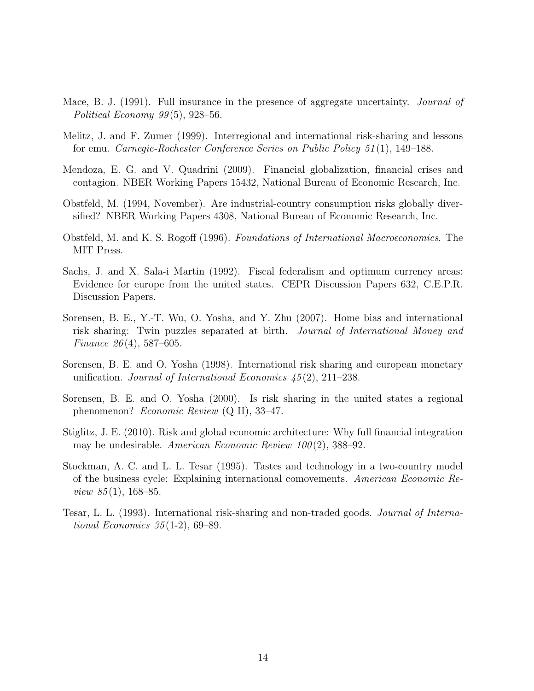- Mace, B. J. (1991). Full insurance in the presence of aggregate uncertainty. *Journal of* Political Economy  $99(5)$ , 928–56.
- Melitz, J. and F. Zumer (1999). Interregional and international risk-sharing and lessons for emu. Carnegie-Rochester Conference Series on Public Policy 51 (1), 149–188.
- Mendoza, E. G. and V. Quadrini (2009). Financial globalization, financial crises and contagion. NBER Working Papers 15432, National Bureau of Economic Research, Inc.
- Obstfeld, M. (1994, November). Are industrial-country consumption risks globally diversified? NBER Working Papers 4308, National Bureau of Economic Research, Inc.
- Obstfeld, M. and K. S. Rogoff (1996). Foundations of International Macroeconomics. The MIT Press.
- Sachs, J. and X. Sala-i Martin (1992). Fiscal federalism and optimum currency areas: Evidence for europe from the united states. CEPR Discussion Papers 632, C.E.P.R. Discussion Papers.
- Sorensen, B. E., Y.-T. Wu, O. Yosha, and Y. Zhu (2007). Home bias and international risk sharing: Twin puzzles separated at birth. Journal of International Money and Finance  $26(4)$ , 587–605.
- Sorensen, B. E. and O. Yosha (1998). International risk sharing and european monetary unification. Journal of International Economics  $45(2)$ , 211–238.
- Sorensen, B. E. and O. Yosha (2000). Is risk sharing in the united states a regional phenomenon? Economic Review (Q II), 33–47.
- Stiglitz, J. E. (2010). Risk and global economic architecture: Why full financial integration may be undesirable. American Economic Review  $100(2)$ , 388-92.
- Stockman, A. C. and L. L. Tesar (1995). Tastes and technology in a two-country model of the business cycle: Explaining international comovements. American Economic Review 85(1), 168–85.
- Tesar, L. L. (1993). International risk-sharing and non-traded goods. Journal of International Economics 35 (1-2), 69–89.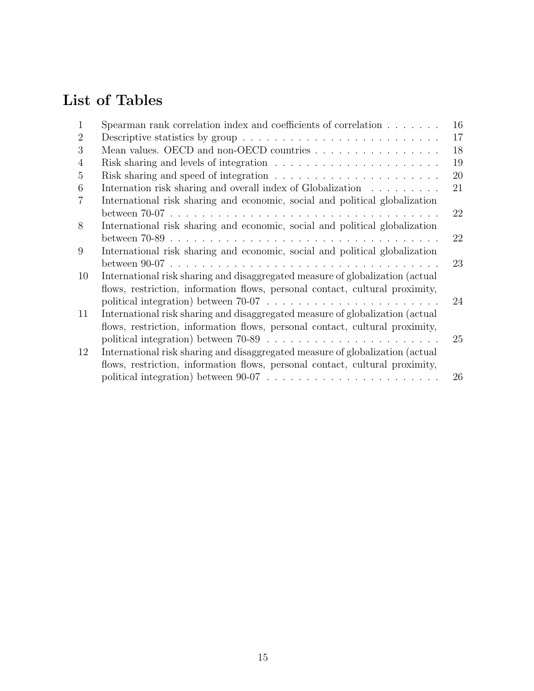# List of Tables

| 1              | Spearman rank correlation index and coefficients of correlation                               | 16 |
|----------------|-----------------------------------------------------------------------------------------------|----|
| $\overline{2}$ | Descriptive statistics by group $\dots \dots \dots \dots \dots \dots \dots \dots \dots \dots$ | 17 |
| 3              | Mean values. OECD and non-OECD countries $\dots \dots \dots \dots \dots$                      | 18 |
| $\overline{4}$ |                                                                                               | 19 |
| 5              |                                                                                               | 20 |
| 6              | Internation risk sharing and overall index of Globalization                                   | 21 |
| $\overline{7}$ | International risk sharing and economic, social and political globalization                   |    |
|                |                                                                                               | 22 |
| 8              | International risk sharing and economic, social and political globalization                   |    |
|                |                                                                                               | 22 |
| 9              | International risk sharing and economic, social and political globalization                   |    |
|                |                                                                                               | 23 |
| 10             | International risk sharing and disaggregated measure of globalization (actual                 |    |
|                | flows, restriction, information flows, personal contact, cultural proximity,                  |    |
|                |                                                                                               | 24 |
| 11             | International risk sharing and disaggregated measure of globalization (actual                 |    |
|                | flows, restriction, information flows, personal contact, cultural proximity,                  |    |
|                |                                                                                               | 25 |
| 12             | International risk sharing and disaggregated measure of globalization (actual                 |    |
|                | flows, restriction, information flows, personal contact, cultural proximity,                  |    |
|                |                                                                                               | 26 |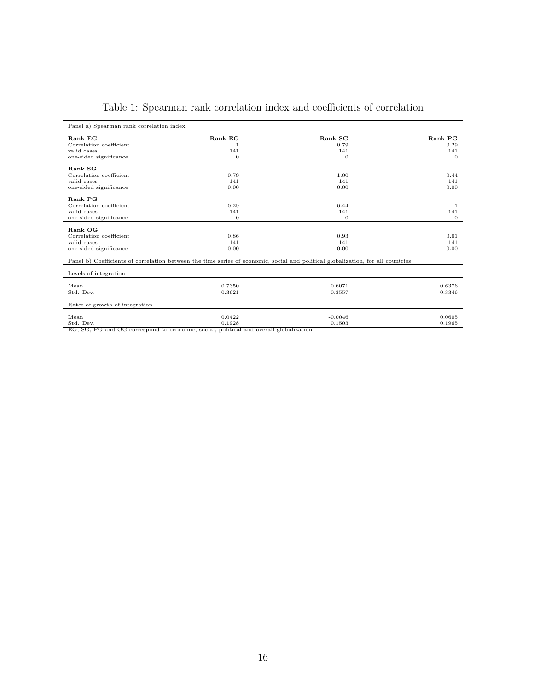| Panel a) Spearman rank correlation index |                                                                                       |                                                                                                                                 |              |
|------------------------------------------|---------------------------------------------------------------------------------------|---------------------------------------------------------------------------------------------------------------------------------|--------------|
| Rank EG                                  | Rank EG                                                                               | Rank SG                                                                                                                         | Rank PG      |
| Correlation coefficient                  | -1                                                                                    | 0.79                                                                                                                            | 0.29         |
| valid cases                              | 141                                                                                   | 141                                                                                                                             | 141          |
| one-sided significance                   | $\Omega$                                                                              | $\theta$                                                                                                                        | $\Omega$     |
|                                          |                                                                                       |                                                                                                                                 |              |
| Rank SG                                  |                                                                                       |                                                                                                                                 |              |
| Correlation coefficient                  | 0.79                                                                                  | 1.00                                                                                                                            | 0.44         |
| valid cases                              | 141                                                                                   | 141                                                                                                                             | 141          |
| one-sided significance                   | 0.00                                                                                  | 0.00                                                                                                                            | 0.00         |
|                                          |                                                                                       |                                                                                                                                 |              |
| Rank PG                                  |                                                                                       |                                                                                                                                 |              |
| Correlation coefficient                  | 0.29                                                                                  | 0.44                                                                                                                            | 1            |
| valid cases                              | 141                                                                                   | 141                                                                                                                             | 141          |
| one-sided significance                   | $\mathbf{0}$                                                                          | $\theta$                                                                                                                        | $\mathbf{0}$ |
|                                          |                                                                                       |                                                                                                                                 |              |
| Rank OG                                  |                                                                                       |                                                                                                                                 |              |
| Correlation coefficient                  | 0.86                                                                                  | 0.93                                                                                                                            | 0.61         |
| valid cases                              | 141                                                                                   | 141                                                                                                                             | 141          |
| one-sided significance                   | 0.00                                                                                  | 0.00                                                                                                                            | 0.00         |
|                                          |                                                                                       |                                                                                                                                 |              |
|                                          |                                                                                       | Panel b) Coefficients of correlation between the time series of economic, social and political globalization, for all countries |              |
|                                          |                                                                                       |                                                                                                                                 |              |
| Levels of integration                    |                                                                                       |                                                                                                                                 |              |
| Mean                                     | 0.7350                                                                                | 0.6071                                                                                                                          | 0.6376       |
| Std. Dev.                                | 0.3621                                                                                | 0.3557                                                                                                                          | 0.3346       |
|                                          |                                                                                       |                                                                                                                                 |              |
| Rates of growth of integration           |                                                                                       |                                                                                                                                 |              |
|                                          |                                                                                       |                                                                                                                                 |              |
| Mean                                     | 0.0422                                                                                | $-0.0046$                                                                                                                       | 0.0605       |
| Std. Dev.                                | 0.1928                                                                                | 0.1503                                                                                                                          | 0.1965       |
|                                          | EG, SG, PG and OG correspond to economic, social, political and overall globalization |                                                                                                                                 |              |

### Table 1: Spearman rank correlation index and coefficients of correlation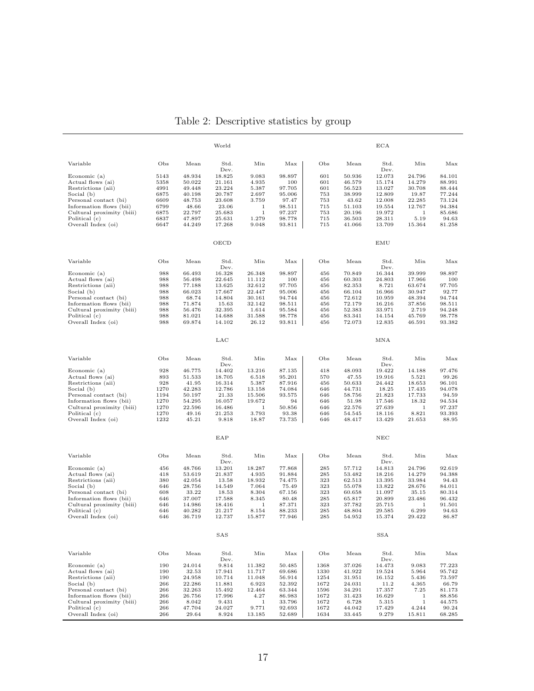|                                                      |              |                  | World                    |                  |                  |              |                  | <b>ECA</b>               |                              |                  |
|------------------------------------------------------|--------------|------------------|--------------------------|------------------|------------------|--------------|------------------|--------------------------|------------------------------|------------------|
| Variable                                             | Obs          | Mean             | Std.                     | Min              | Max              | Obs          | Mean             | Std.                     | Min                          | Max              |
| Economic (a)<br>Actual flows (ai)                    | 5143<br>5358 | 48.934<br>50.022 | Dev.<br>18.825<br>21.161 | 9.083<br>4.935   | 98.897<br>100    | 601<br>601   | 50.936<br>46.579 | Dev.<br>12.073<br>15.174 | 24.796<br>14.279             | 84.101<br>88.991 |
| Restrictions (aii)<br>Social (b)                     | 4991<br>6875 | 49.448<br>40.198 | 23.224<br>20.787         | 5.387<br>2.697   | 97.705<br>95.006 | 601<br>753   | 56.523<br>38.999 | 13.027<br>12.809         | 30.708<br>19.87              | 88.444<br>77.244 |
| Personal contact (bi)                                | 6609         | 48.753           | 23.608                   | 3.759            | 97.47            | 753          | 43.62            | 12.008                   | 22.285                       | 73.124           |
| Information flows (bii)                              | 6799         | 48.66            | 23.06                    | 1<br>1           | 98.511           | 715          | 51.103           | 19.554                   | 12.767                       | 94.384           |
| Cultural proximity (biii)<br>Political (c)           | 6875<br>6837 | 22.797<br>47.897 | 25.683<br>25.631         | 1.279            | 97.237<br>98.778 | 753<br>715   | 20.196<br>36.503 | 19.972<br>28.311         | 1<br>5.19                    | 85.686<br>94.63  |
| Overall Index (oi)                                   | 6647         | 44.249           | 17.268                   | 9.048            | 93.811           | 715          | 41.066           | 13.709                   | 15.364                       | 81.258           |
|                                                      |              |                  | OECD                     |                  |                  |              |                  | EMU                      |                              |                  |
| Variable                                             | Obs          | Mean             | Std.                     | Min              | Max              | Obs          | Mean             | Std.                     | Min                          | Max              |
| Economic (a)                                         | 988          | 66.493           | Dev.<br>16.328           | 26.348           | 98.897           | 456          | 70.849           | Dev.<br>16.344           | 39.999                       | 98.897           |
| Actual flows (ai)                                    | 988          | 56.498           | 22.645                   | 11.112           | 100              | 456          | 60.303           | 24.803                   | 17.966                       | 100              |
| Restrictions (aii)                                   | 988          | 77.188           | 13.625                   | 32.612           | 97.705           | 456          | 82.353           | 8.721                    | 63.674                       | 97.705           |
| Social (b)<br>Personal contact (bi)                  | 988<br>988   | 66.023<br>68.74  | 17.667<br>14.804         | 22.447<br>30.161 | 95.006<br>94.744 | 456<br>456   | 66.104<br>72.612 | 16.966<br>10.959         | 30.947<br>48.394             | 92.77<br>94.744  |
| Information flows (bii)                              | 988          | 71.874           | 15.63                    | 32.142           | 98.511           | 456          | 72.179           | 16.216                   | 37.856                       | 98.511           |
| Cultural proximity (biii)                            | 988          | 56.476           | 32.395                   | 1.614            | 95.584           | 456          | 52.383           | 33.971                   | 2.719                        | 94.248           |
| Political (c)<br>Overall Index (oi)                  | 988<br>988   | 81.021<br>69.874 | 14.688<br>14.102         | 31.588<br>26.12  | 98.778<br>93.811 | 456<br>456   | 83.341<br>72.073 | 14.154<br>12.835         | 45.769<br>46.591             | 98.778<br>93.382 |
|                                                      |              |                  | LAC                      |                  |                  |              |                  | MNA                      |                              |                  |
|                                                      | Obs          |                  | Std.                     | Min              |                  | Obs          |                  |                          |                              |                  |
| Variable                                             | 928          | Mean             | Dev.<br>14.402           |                  | Max              |              | Mean             | Std.<br>Dev.<br>19.422   | Min                          | Max              |
| Economic (a)<br>Actual flows (ai)                    | 893          | 46.775<br>51.533 | 18.705                   | 13.216<br>6.518  | 87.135<br>95.201 | 418<br>570   | 48.093<br>47.55  | 19.916                   | 14.188<br>5.521              | 97.476<br>99.26  |
| Restrictions (aii)                                   | 928          | 41.95            | 16.314                   | 5.387            | 87.916           | 456          | 50.633           | 24.442                   | 18.653                       | 96.101           |
| Social (b)<br>Personal contact (bi)                  | 1270<br>1194 | 42.283<br>50.197 | 12.786<br>21.33          | 13.158<br>15.506 | 74.084<br>93.575 | 646<br>646   | 44.731<br>58.756 | 18.25<br>21.823          | 17.435<br>17.733             | 94.078<br>94.59  |
| Information flows (bii)                              | 1270         | 54.295           | 16.057                   | 19.672           | 94               | 646          | 51.98            | 17.546                   | 18.32                        | 94.534           |
| Cultural proximity (biii)                            | 1270         | 22.596           | 16.486                   | 1                | 50.856           | 646          | 22.576           | 27.639                   | $1\,$                        | 97.237           |
| Political (c)                                        | 1270         | 49.16            | 21.253                   | 3.793            | 93.38            | 646          | 54.545           | 18.116                   | 8.821                        | 93.393           |
| Overall Index (oi)                                   | 1232         | 45.21            | 9.818                    | 18.87            | 73.735           | 646          | 48.417           | 13.429                   | 21.653                       | 88.95            |
|                                                      |              |                  | EAP                      |                  |                  |              |                  | NEC                      |                              |                  |
| Variable                                             | Obs          | Mean             | Std.                     | Min              | Max              | Obs          | Mean             | Std.                     | Min                          | Max              |
| Economic (a)                                         | 456          | 48.766           | Dev.<br>13.201           | 18.287           | 77.868           | 285          | 57.712           | Dev.<br>14.813           | 24.796                       | 92.619           |
| Actual flows (ai)                                    | 418          | 53.619           | 21.837                   | 4.935            | 91.884           | 285          | 53.482           | 18.216                   | 14.279                       | 94.388           |
| Restrictions (aii)                                   | 380          | 42.054           | 13.58                    | 18.932           | 74.475           | 323          | 62.513           | 13.395                   | 33.984                       | 94.43            |
| Social (b)<br>Personal contact (bi)                  | 646<br>608   | 28.756<br>33.22  | 14.549<br>18.53          | 7.064<br>8.304   | 75.49<br>67.156  | 323<br>323   | 55.078<br>60.658 | 13.822<br>11.097         | 28.676<br>35.15              | 84.011<br>80.314 |
| Information flows (bii)                              | 646          | 37.007           | 17.588                   | 8.345            | 80.48            | 285          | 65.817           | 20.899                   | 23.486                       | 96.432           |
| Cultural proximity (biii)                            | 646          | 14.986           | 18.416                   | 1                | 87.371           | 323          | 37.782           | 25.715                   | 1                            | 91.501           |
| Political (c)<br>Overall Index (oi)                  | 646<br>646   | 40.282<br>36.719 | 21.217<br>12.737         | 8.154<br>15.877  | 88.233<br>77.946 | 285<br>285   | 48.804<br>54.952 | 29.585<br>15.374         | 6.299<br>29.422              | 94.63<br>86.87   |
|                                                      |              |                  | SAS                      |                  |                  |              |                  | SSA                      |                              |                  |
| Variable                                             | Obs          | Mean             | Std.                     | Min              | Max              | Obs          | Mean             | Std.                     | Min                          | Max              |
|                                                      |              |                  | Dev.                     |                  |                  |              |                  | Dev.                     |                              |                  |
| $E$ conomic $(a)$                                    | 190          | 24.014           | 9.814                    | 11.382           | 50.485           | 1368         | 37.026           | 14.473                   | 9.083                        | 77.223           |
| Actual flows (ai)<br>Restrictions (aii)              | 190<br>190   | 32.53<br>24.958  | 17.941<br>10.714         | 11.717<br>11.048 | 69.686<br>56.914 | 1330<br>1254 | 41.922<br>31.951 | 19.524<br>16.152         | 5.964<br>5.436               | 95.742<br>73.597 |
| Social (b)                                           | 266          | 22.286           | 11.881                   | 6.923            | 52.392           | 1672         | 24.031           | 11.2                     | 4.365                        | 66.79            |
| Personal contact (bi)                                | 266          | 32.263           | 15.492                   | 12.464           | 63.344           | 1596         | 34.291           | 17.357                   | 7.25                         | 81.173           |
| Information flows (bii)<br>Cultural proximity (biii) | 266<br>266   | 26.756<br>8.042  | 17.996<br>9.431          | 4.27<br>1        | 86.983<br>33.796 | 1672<br>1672 | 31.423<br>6.728  | 16.629<br>5.315          | $\mathbf{1}$<br>$\mathbf{1}$ | 88.856<br>44.575 |
| Political (c)                                        | 266          | 47.704           | 24.027                   | 9.771            | 92.693           | 1672         | 44.042           | 17.429                   | 4.244                        | 90.24            |
| Overall Index (oi)                                   | 266          | 29.64            | 8.924                    | 13.185           | 52.689           | 1634         | 33.445           | 9.279                    | 15.811                       | 68.285           |

### Table 2: Descriptive statistics by group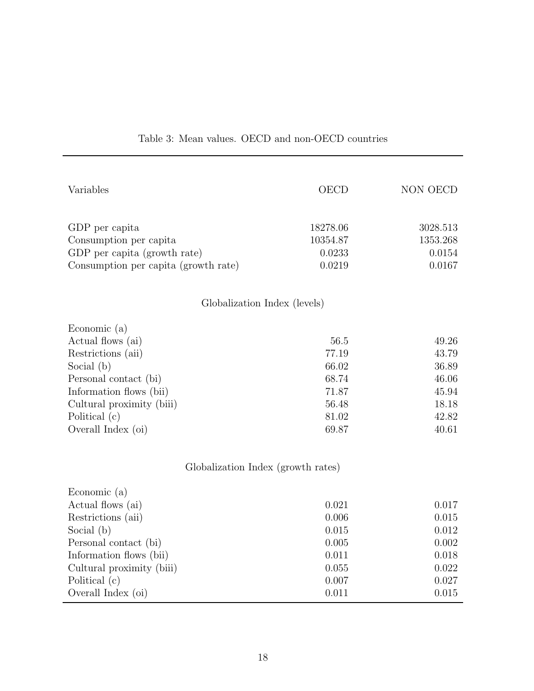| Variables                            | OECD     | NON OECD |
|--------------------------------------|----------|----------|
| GDP per capita                       | 18278.06 | 3028.513 |
| Consumption per capita               | 10354.87 | 1353.268 |
| GDP per capita (growth rate)         | 0.0233   | 0.0154   |
| Consumption per capita (growth rate) | 0.0219   | 0.0167   |
| Globalization Index (levels)         |          |          |
| Economic $(a)$                       |          |          |
| Actual flows (ai)                    | 56.5     | 49.26    |
| Restrictions (aii)                   | 77.19    | 43.79    |
| Social (b)                           | 66.02    | 36.89    |
| Personal contact (bi)                | 68.74    | 46.06    |
| Information flows (bii)              | 71.87    | 45.94    |
| Cultural proximity (biii)            | 56.48    | 18.18    |
| Political (c)                        | 81.02    | 42.82    |
| Overall Index (oi)                   | 69.87    | 40.61    |
| Globalization Index (growth rates)   |          |          |
| Economic (a)                         |          |          |
| Actual flows (ai)                    | 0.021    | 0.017    |
| Restrictions (aii)                   | 0.006    | 0.015    |
| Social (b)                           | 0.015    | 0.012    |
| Personal contact (bi)                | 0.005    | 0.002    |
| Information flows (bii)              | 0.011    | 0.018    |
| Cultural proximity (biii)            | 0.055    | 0.022    |
| Political (c)                        | 0.007    | 0.027    |
| Overall Index (oi)                   | 0.011    | 0.015    |

### Table 3: Mean values. OECD and non-OECD countries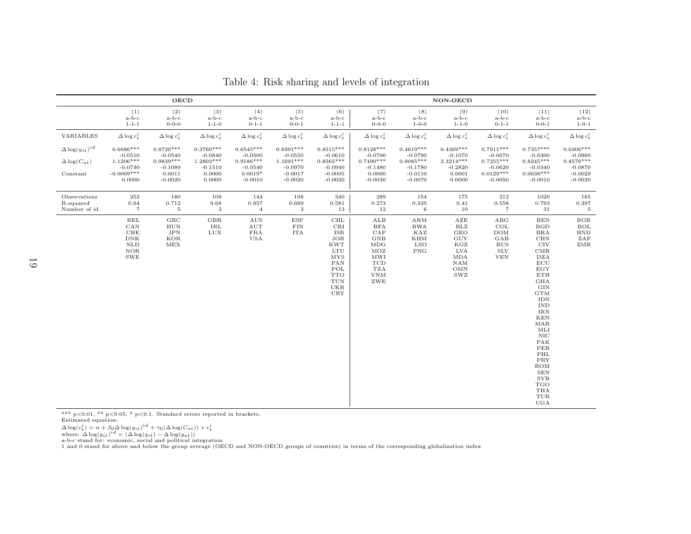|                                                                 |                                                                                                 | <b>OECD</b>                                                                 |                                                                        |                                                                                |                                                                                |                                                                                                                                                           | NON-OECD                                                                                                                        |                                                                                |                                                                                                                |                                                                                  |                                                                                                                                                                                                                                                                                                                                                                                                                                                                                |                                                                                |  |
|-----------------------------------------------------------------|-------------------------------------------------------------------------------------------------|-----------------------------------------------------------------------------|------------------------------------------------------------------------|--------------------------------------------------------------------------------|--------------------------------------------------------------------------------|-----------------------------------------------------------------------------------------------------------------------------------------------------------|---------------------------------------------------------------------------------------------------------------------------------|--------------------------------------------------------------------------------|----------------------------------------------------------------------------------------------------------------|----------------------------------------------------------------------------------|--------------------------------------------------------------------------------------------------------------------------------------------------------------------------------------------------------------------------------------------------------------------------------------------------------------------------------------------------------------------------------------------------------------------------------------------------------------------------------|--------------------------------------------------------------------------------|--|
|                                                                 | (1)<br>$a-b-c$<br>$1 - 1 - 1$                                                                   | (2)<br>$a-b-c$<br>$0 - 0 - 0$                                               | (3)<br>$a-b-c$<br>$1 - 1 - 0$                                          | (4)<br>$a-b-c$<br>$0 - 1 - 1$                                                  | (5)<br>$a-b-c$<br>$0 - 0 - 1$                                                  | (6)<br>$a-b-c$<br>$1 - 1 - 1$                                                                                                                             | (7)<br>$a-b-c$<br>$0 - 0 - 0$                                                                                                   | (8)<br>$a-b-c$<br>$1 - 0 - 0$                                                  | (9)<br>$a-b-c$<br>$1 - 1 - 0$                                                                                  | (10)<br>$a-b-c$<br>$0 - 1 - 1$                                                   | (11)<br>$a-b-c$<br>$0 - 0 - 1$                                                                                                                                                                                                                                                                                                                                                                                                                                                 | (12)<br>a-b-c<br>$1 - 0 - 1$                                                   |  |
| VARIABLES                                                       | $\Delta \log c_t^i$                                                                             | $\Delta \log c_t^i$                                                         | $\Delta \log c_t^i$                                                    | $\Delta \log c_t^i$                                                            | $\Delta \log c_t^i$                                                            | $\Delta \log c_t^i$                                                                                                                                       | $\Delta \log c_t^i$                                                                                                             | $\Delta \log c_t^i$                                                            | $\Delta \log c_t^i$                                                                                            | $\Delta \log c_t^i$                                                              | $\Delta \log c_t^i$                                                                                                                                                                                                                                                                                                                                                                                                                                                            | $\Delta \log c_t^i$                                                            |  |
| $\Delta \log(y_{it})^{id}$<br>$\Delta \log(C_{at})$<br>Constant | $0.6686***$<br>$-0.0510$<br>$1.1206***$<br>$-0.0740$<br>$-0.0009***$<br>0.0000                  | $0.8720***$<br>$-0.0540$<br>$0.9839***$<br>$-0.1080$<br>0.0011<br>$-0.0020$ | $0.3760***$<br>$-0.0840$<br>1.2803***<br>$-0.1510$<br>0.0000<br>0.0000 | $0.6545***$<br>$-0.0500$<br>$0.9186***$<br>$-0.0540$<br>$0.0019*$<br>$-0.0010$ | $0.8391***$<br>$-0.0550$<br>$1.1691***$<br>$-0.0970$<br>$-0.0017$<br>$-0.0020$ | $0.8515***$<br>$-0.0610$<br>$0.8565***$<br>$-0.0940$<br>$-0.0005$<br>$-0.0030$                                                                            | $0.8128***$<br>$-0.0700$<br>$0.7490***$<br>$-0.1480$<br>0.0000<br>$-0.0030$                                                     | $0.4619***$<br>$-0.0790$<br>$0.8085***$<br>$-0.1780$<br>$-0.0110$<br>$-0.0070$ | $0.4369***$<br>$-0.1070$<br>$2.3214***$<br>$-0.2820$<br>0.0001<br>0.0000                                       | $0.7911***$<br>$-0.0670$<br>$0.7255***$<br>$-0.0620$<br>$0.0129***$<br>$-0.0050$ | $0.7357***$<br>$-0.0300$<br>$0.8245***$<br>$-0.0340$<br>$0.0038***$<br>$-0.0010$                                                                                                                                                                                                                                                                                                                                                                                               | $0.6306***$<br>$-0.0960$<br>$0.8576***$<br>$-0.0870$<br>$-0.0029$<br>$-0.0020$ |  |
| Observations<br>R-squared<br>Number of id                       | 252<br>0.64<br>$\scriptstyle{7}$                                                                | 180<br>0.712<br>$\,$ 5                                                      | 108<br>0.68<br>3                                                       | 144<br>0.857<br>$\bf{4}$                                                       | 108<br>0.689<br>3                                                              | 340<br>0.581<br>13                                                                                                                                        | 289<br>0.273<br>12                                                                                                              | 154<br>0.335<br>$\,6\,$                                                        | 175<br>0.41<br>10                                                                                              | 212<br>0.558<br>$\scriptstyle{7}$                                                | 1020<br>0.793<br>31                                                                                                                                                                                                                                                                                                                                                                                                                                                            | 165<br>0.397<br>$5\phantom{.0}$                                                |  |
|                                                                 | $\operatorname{BEL}$<br>CAN<br>${\rm CHE}$<br>${\rm DNK}$<br>NLD<br>$_{\rm NOR}$<br>${\rm SWE}$ | $_{\rm GRC}$<br>HUN<br>$_{\rm JPN}$<br>KOR<br>MEX                           | GBR<br>IRL<br>$_{\rm LUX}$                                             | $\rm{AUS}$<br>AUT<br>$_{\rm FRA}$<br><b>USA</b>                                | $_{\rm ESP}$<br>FIN<br><b>ITA</b>                                              | $\rm CHL$<br>CRI<br>$_{\rm ISR}$<br><b>JOR</b><br><b>KWT</b><br><b>LTU</b><br><b>MYS</b><br>PAN<br>POL<br><b>TTO</b><br>$_{\rm TUN}$<br><b>UKR</b><br>URY | ${\rm ALB}$<br>BFA<br>${\rm CAF}$<br>$_{\rm GNB}$<br>MDG<br>MOZ<br>MWI<br><b>TCD</b><br><b>TZA</b><br><b>VNM</b><br>${\rm ZWE}$ | $\mathbf{ARM}$<br><b>BWA</b><br>KAZ<br><b>KHM</b><br><b>LSO</b><br>PNG         | ${\rm AZE}$<br>BLZ<br>$_{\rm GEO}$<br>$\rm GUY$<br>KGZ<br>LVA<br>MDA<br>NAM<br><b>OMN</b><br>$_{\mathrm{SWZ}}$ | $\rm{ARG}$<br>COL<br><b>DOM</b><br>GAB<br><b>RUS</b><br><b>SLV</b><br><b>VEN</b> | $_{\rm BEN}$<br>$_{\rm BGD}$<br>$_{\rm BRA}$<br>$\rm CHN$<br>$_{\rm CIV}$<br>$_{\rm CMR}$<br><b>DZA</b><br>$_{\rm ECU}$<br>$_{\rm EGY}$<br>$\operatorname{ETH}$<br>$\rm GHA$<br>$\rm GIN$<br>$_{\mathrm{GTM}}$<br>IDN<br>$\ensuremath{\mathrm{IND}}$<br>$_{\rm{IRN}}$<br>$\mathop{\rm KEN}\nolimits$<br>$\rm{MAR}$<br>MLI<br>$_{\rm NIC}$<br>PAK<br>PER<br>PHL<br>PRY<br>ROM<br><b>SEN</b><br><b>SYR</b><br>$_{\rm TGO}$<br>THA<br>$_{\mbox{\scriptsize TUR}}$<br>$_{\rm UGA}$ | BGR<br>BOL<br><b>HND</b><br>ZAF<br>ZMB                                         |  |

Table 4: Risk sharing and levels of integration

\*\*\* <sup>p</sup><0.01, \*\* <sup>p</sup><0.05, \* <sup>p</sup><0.1. Standard errors reported in brackets.

Estimated equation:

 $\Delta \log(c_t^i) = \alpha + \beta_0 \Delta \log(y_{it})^{id} + \gamma_0 (\Delta \log(C_{at})) + \epsilon_t^i$ <br>where:  $\Delta \log(y_{it})^{id} = (\Delta \log(y_{it}) - \Delta \log(y_{at}))$ <br>a-b-c stand for: economic, social and political integration.<br>1 and 0 stand for above and below the group average (OECD and NON-OECD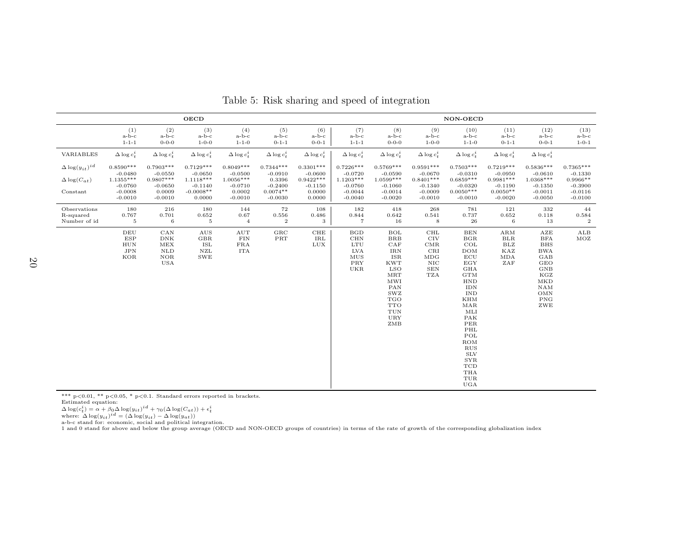|                                                                 |                                                                              |                                                                             | <b>OECD</b>                                                                   |                                                                             |                                                                            |                                                                          | NON-OECD                                                                                       |                                                                                                                                                                                                                                            |                                                                                             |                                                                                                                                                                                                                                                                                                                                               |                                                                                 |                                                                                                                                                   |                                                                               |  |
|-----------------------------------------------------------------|------------------------------------------------------------------------------|-----------------------------------------------------------------------------|-------------------------------------------------------------------------------|-----------------------------------------------------------------------------|----------------------------------------------------------------------------|--------------------------------------------------------------------------|------------------------------------------------------------------------------------------------|--------------------------------------------------------------------------------------------------------------------------------------------------------------------------------------------------------------------------------------------|---------------------------------------------------------------------------------------------|-----------------------------------------------------------------------------------------------------------------------------------------------------------------------------------------------------------------------------------------------------------------------------------------------------------------------------------------------|---------------------------------------------------------------------------------|---------------------------------------------------------------------------------------------------------------------------------------------------|-------------------------------------------------------------------------------|--|
|                                                                 | (1)<br>$a-b-c$<br>$1 - 1 - 1$                                                | (2)<br>$a-b-c$<br>$0 - 0 - 0$                                               | (3)<br>$a-b-c$<br>$1 - 0 - 0$                                                 | (4)<br>$a-b-c$<br>$1 - 1 - 0$                                               | (5)<br>$a-b-c$<br>$0 - 1 - 1$                                              | (6)<br>$a-b-c$<br>$0 - 0 - 1$                                            | (7)<br>$a-b-c$<br>$1 - 1 - 1$                                                                  | (8)<br>$a-b-c$<br>$0 - 0 - 0$                                                                                                                                                                                                              | (9)<br>$a-b-c$<br>$1 - 0 - 0$                                                               | (10)<br>$a-b-c$<br>$1 - 1 - 0$                                                                                                                                                                                                                                                                                                                | (11)<br>$a-b-c$<br>$0 - 1 - 1$                                                  | (12)<br>$a-b-c$<br>$0 - 0 - 1$                                                                                                                    | (13)<br>$a-b-c$<br>$1 - 0 - 1$                                                |  |
| VARIABLES                                                       | $\Delta \log c_t^i$                                                          | $\Delta \log c_t^i$                                                         | $\Delta \log c_t^i$                                                           | $\Delta \log c_t^i$                                                         | $\Delta \log c_t^i$                                                        | $\Delta \log c_t^i$                                                      | $\Delta \log c_t^i$                                                                            | $\Delta \log c_t^i$                                                                                                                                                                                                                        | $\Delta \log c_t^i$                                                                         | $\Delta \log c_t^i$                                                                                                                                                                                                                                                                                                                           | $\Delta \log c_t^i$                                                             | $\Delta \log c_t^i$                                                                                                                               |                                                                               |  |
| $\Delta \log(y_{it})^{id}$<br>$\Delta \log(C_{at})$<br>Constant | $0.8590***$<br>$-0.0480$<br>1.1355***<br>$-0.0760$<br>$-0.0008$<br>$-0.0010$ | $0.7903***$<br>$-0.0550$<br>$0.9807***$<br>$-0.0650$<br>0.0009<br>$-0.0010$ | $0.7129***$<br>$-0.0650$<br>$1.1118***$<br>$-0.1140$<br>$-0.0008**$<br>0.0000 | $0.8049***$<br>$-0.0500$<br>$1.0056***$<br>$-0.0710$<br>0.0002<br>$-0.0010$ | $0.7344***$<br>$-0.0910$<br>0.3396<br>$-0.2400$<br>$0.0074**$<br>$-0.0030$ | $0.3301***$<br>$-0.0600$<br>$0.9422***$<br>$-0.1150$<br>0.0000<br>0.0000 | $0.7226***$<br>$-0.0720$<br>$1.1203***$<br>$-0.0760$<br>$-0.0044$<br>$-0.0040$                 | $0.5769***$<br>$-0.0590$<br>$1.0599***$<br>$-0.1060$<br>$-0.0014$<br>$-0.0020$                                                                                                                                                             | $0.9591***$<br>$-0.0670$<br>$0.8401***$<br>$-0.1340$<br>$-0.0009$<br>$-0.0010$              | $0.7503***$<br>$-0.0310$<br>$0.6859***$<br>$-0.0320$<br>$0.0050***$<br>$-0.0010$                                                                                                                                                                                                                                                              | $0.7219***$<br>$-0.0950$<br>$0.9981***$<br>$-0.1190$<br>$0.0050**$<br>$-0.0020$ | $0.5836***$<br>$-0.0610$<br>1.0368***<br>$-0.1350$<br>$-0.0011$<br>$-0.0050$                                                                      | $0.7365***$<br>$-0.1330$<br>$0.9966**$<br>$-0.3900$<br>$-0.0116$<br>$-0.0100$ |  |
| Observations<br>R-squared<br>Number of id                       | 180<br>0.767<br>$\,$ 5                                                       | 216<br>0.701<br>$\,6\,$                                                     | 180<br>0.652<br>$\,$ 5                                                        | 144<br>0.67<br>$\overline{4}$                                               | $\bf 72$<br>0.556<br>$\boldsymbol{2}$                                      | 108<br>0.486<br>3                                                        | 182<br>0.844<br>$\scriptstyle{7}$                                                              | 418<br>0.642<br>16                                                                                                                                                                                                                         | 268<br>0.541<br>$\,8\,$                                                                     | 781<br>0.737<br>${\bf 26}$                                                                                                                                                                                                                                                                                                                    | 121<br>0.652<br>$\,6\,$                                                         | 332<br>0.118<br>13                                                                                                                                | 44<br>0.584<br>$\boldsymbol{2}$                                               |  |
|                                                                 | DEU<br><b>ESP</b><br><b>HUN</b><br>JPN<br>KOR                                | CAN<br>$_{\rm{DNK}}$<br>MEX<br>$\rm NLD$<br>NOR<br>USA                      | AUS<br>$_{\rm GBR}$<br>ISL<br>${\rm NZL}$<br><b>SWE</b>                       | $\mathop{\rm AUT}$<br>${\rm FIN}$<br>$_{\rm FRA}$<br>ITA                    | $_{\rm GRC}$<br>$\ensuremath{\mathsf{PRT}}$                                | CHE<br>$\rm IRL$<br>LUX                                                  | $_{\rm BGD}$<br>CHN<br>$_{\rm LTU}$<br>LVA<br>MUS<br>$\ensuremath{\mathsf{PRY}}$<br><b>UKR</b> | BOL<br>$_{\rm BRB}$<br>${\rm CAF}$<br>$_{\rm IRN}$<br><b>ISR</b><br><b>KWT</b><br><b>LSO</b><br>$\operatorname{MRT}$<br>$\mathop{\rm MWI}$<br>PAN<br>$_{\mathrm{SWZ}}$<br><b>TGO</b><br><b>TTO</b><br>$_{\rm TUN}$<br>$_{\rm{URY}}$<br>ZMB | CHL<br><b>CIV</b><br>$_{\rm CMR}$<br>CRI<br>MDG<br>$_{\rm NIC}$<br><b>SEN</b><br><b>TZA</b> | $_{\rm BEN}$<br>BGR<br>COL<br>DOM<br>ECU<br>$_{\rm EGY}$<br><b>GHA</b><br>$_{\mathrm{GTM}}$<br><b>HND</b><br><b>IDN</b><br><b>IND</b><br>$\mathop{\rm KHM}\nolimits$<br>$\rm{MAR}$<br>MLI<br>PAK<br>PER<br>$\rm PHL$<br>POL<br>ROM<br>$_{\rm RUS}$<br><b>SLV</b><br>$_{\rm SYR}$<br>$_{\rm TCD}$<br>THA<br>$_{\mbox{\scriptsize TUR}}$<br>UGA | $\mathbf{ARM}$<br><b>BLR</b><br>BLZ<br>KAZ<br><b>MDA</b><br>ZAF                 | AZE<br><b>BFA</b><br><b>BHS</b><br><b>BWA</b><br>GAB<br><b>GEO</b><br>GNB<br>KGZ<br><b>MKD</b><br><b>NAM</b><br>$_{\rm OMN}$<br><b>PNG</b><br>ZWE | ALB<br>MOZ                                                                    |  |

Table 5: Risk sharing and speed of integration

\*\*\* p<0.01, \*\* p<0.05, \* p<0.1. Standard errors reported in brackets.<br>Estimated equation:<br> $\Delta \log(e_t^i) = \alpha + \beta_0 \Delta \log(y_{it})^{id} + \gamma_0 (\Delta \log(C_{at})) + \epsilon_t^i$ <br>where:  $\Delta \log(y_{it})^{id} = (\Delta \log(y_{it})^{-1} - \Delta \log(y_{at}))$ <br>a-b-c stand for: economic, social and p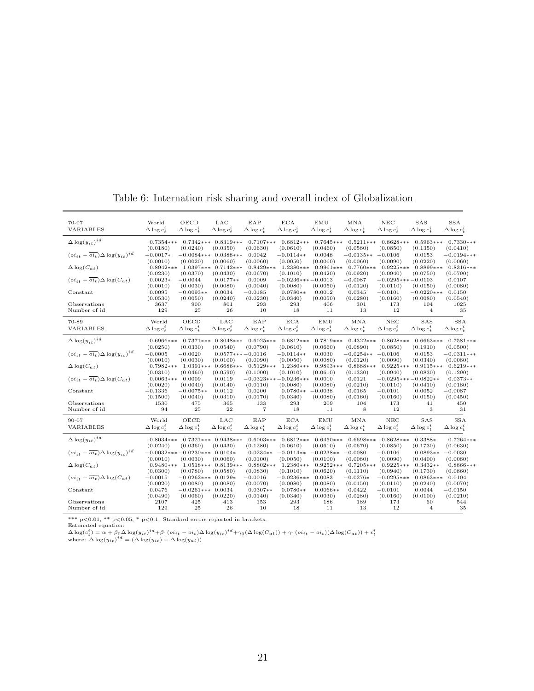| 70-07                                                               | World                   | OECD                             | LAC                                 | EAP                     | $_{\rm ECA}$                       | $\mathop{\rm EMU}\nolimits$ | $\operatorname{MNA}$    | $_{\rm NEC}$                      | SAS                      | <b>SSA</b>               |
|---------------------------------------------------------------------|-------------------------|----------------------------------|-------------------------------------|-------------------------|------------------------------------|-----------------------------|-------------------------|-----------------------------------|--------------------------|--------------------------|
| VARIABLES                                                           | $\Delta \log c_t^i$     | $\Delta \log c_t^i$              | $\Delta \log c_t^i$                 | $\Delta \log c_t^i$     | $\Delta \log c_t^i$                | $\Delta \log c_t^i$         | $\Delta \log c_t^i$     | $\Delta \log c_t^i$               | $\Delta \log c_t^i$      | $\Delta \log c_t^2$      |
| $\Delta \log(y_{it})^{id}$                                          | $0.7354***$<br>(0.0180) | (0.0240)                         | $0.7342***$ $0.8319***$<br>(0.0350) | $0.7107***$<br>(0.0630) | $0.6812***$<br>(0.0610)            | $0.7645***$<br>(0.0460)     | $0.5211***$<br>(0.0580) | $0.8628***$<br>(0.0850)           | $0.5963***$<br>(0.1350)  | $0.7330***$<br>(0.0410)  |
| $\left(oi_{it} - \overline{oi_{t}}\right) \Delta \log(y_{it})^{id}$ | $-0.0017*$<br>(0.0010)  | $-0.0084***$<br>(0.0020)         | $0.0388***$<br>(0.0060)             | 0.0042<br>(0.0060)      | $-0.0114**$<br>(0.0050)            | 0.0048<br>(0.0060)          | $-0.0135**$<br>(0.0060) | $-0.0106$<br>(0.0090)             | 0.0153<br>(0.0220)       | $-0.0194***$<br>(0.0060) |
| $\Delta \log(C_{at})$                                               | $0.8942***$<br>(0.0230) | $1.0397***$<br>(0.0370)          | $0.7142***$<br>(0.0430)             | $0.8429***$<br>(0.0670) | $1.2380***$<br>(0.1010)            | $0.9961***$<br>(0.0420)     | $0.7760***$<br>(0.0920) | $0.9225***$<br>(0.0940)           | $0.8899***$<br>(0.0750)  | $0.8316***$<br>(0.0790)  |
| $(o_{i_{1}} - \overline{o_{i_{1}}} ) \Delta \log(C_{at})$           | $0.0023*$<br>(0.0010)   | $-0.0044$<br>(0.0030)            | $0.0177**$<br>(0.0080)              | 0.0009<br>(0.0040)      | $-0.0236***-0.0013$<br>(0.0080)    | (0.0050)                    | $-0.0087$<br>(0.0120)   | $-0.0295***-0.0103$<br>(0.0110)   | (0.0150)                 | 0.0107<br>(0.0080)       |
| Constant                                                            | 0.0095<br>(0.0530)      | $-0.0093**$<br>(0.0050)          | 0.0034<br>(0.0240)                  | $-0.0185$<br>(0.0230)   | $0.0780**$<br>(0.0340)             | 0.0012<br>(0.0050)          | 0.0345<br>(0.0280)      | $-0.0101$<br>(0.0160)             | $-0.0220***$<br>(0.0080) | 0.0150<br>(0.0540)       |
| Observations                                                        | 3637                    | 900                              | 801                                 | 293                     | 293                                | 406                         | 301                     | 173                               | 104                      | 1025                     |
| Number of id                                                        | 129                     | 25                               | 26                                  | 10                      | 18                                 | 11                          | 13                      | 12                                | $\overline{4}$           | 35                       |
| 70-89                                                               | World                   | OECD                             | LAC                                 | EAP                     | ECA                                | EMU                         | MNA                     | NEC                               | SAS                      | <b>SSA</b>               |
| VARIABLES                                                           | $\Delta \log c_*^2$     | $\Delta \log c_*^2$              | $\Delta \log c_{\tau}^2$            | $\Delta \log c_t^2$     | $\Delta \log c_*^i$                | $\Delta \log c_*^i$         | $\Delta \log c_*^i$     | $\Delta \log c_{t}^{i}$           | $\Delta \log c_t^2$      | $\Delta \log c_t^2$      |
| $\Delta \log(y_{it})^{id}$                                          | $0.6966***$<br>(0.0250) | (0.0330)                         | $0.7371***$ $0.8048***$<br>(0.0540) | $0.6025***$<br>(0.0790) | $0.6812***$<br>(0.0610)            | $0.7819***$<br>(0.0660)     | $0.4322***$<br>(0.0890) | $0.8628***$<br>(0.0850)           | $0.6663***$<br>(0.1910)  | $0.7581***$<br>(0.0500)  |
| $\left(oi_{it} - \overline{oi_{t}}\right) \Delta \log(y_{it})^{id}$ | $-0.0005$<br>(0.0010)   | $-0.0020$<br>(0.0030)            | $0.0577***-0.0116$<br>(0.0100)      | (0.0090)                | $-0.0114**$<br>(0.0050)            | 0.0030<br>(0.0080)          | $-0.0254**$<br>(0.0120) | $-0.0106$<br>(0.0090)             | 0.0153<br>(0.0340)       | $-0.0311***$<br>(0.0080) |
| $\Delta \log(C_{at})$                                               | $0.7982***$<br>(0.0310) | $1.0391***$<br>(0.0460)          | $0.6686***$<br>(0.0590)             | $0.5129***$<br>(0.1000) | $1.2380***$<br>(0.1010)            | $0.9893***$<br>(0.0610)     | $0.8688***$<br>(0.1330) | $0.9225***$<br>(0.0940)           | $0.9115***$<br>(0.0830)  | $0.6219***$<br>(0.1290)  |
| $(o_{i_{1}} - \overline{o_{i_{1}}} ) \Delta \log(C_{at})$           | $0.0063***$<br>(0.0020) | 0.0009<br>(0.0040)               | 0.0119<br>(0.0140)                  | (0.0110)                | $-0.0323***-0.0236***$<br>(0.0080) | 0.0010<br>(0.0080)          | 0.0121<br>(0.0210)      | $-0.0295***-0.0822**$<br>(0.0110) | (0.0410)                 | $0.0373**$<br>(0.0180)   |
| Constant                                                            | $-0.1336$<br>(0.1500)   | $-0.0075**$                      | 0.0112<br>(0.0310)                  | 0.0200<br>(0.0170)      | $0.0780**$<br>(0.0340)             | $-0.0038$<br>(0.0080)       | 0.0165<br>(0.0160)      | $-0.0101$<br>(0.0160)             | 0.0052<br>(0.0150)       | $-0.0087$                |
| Observations                                                        | 1530                    | (0.0040)<br>475                  | 365                                 | 133                     | 293                                | 209                         | 104                     | 173                               | 41                       | (0.0450)<br>450          |
| Number of id                                                        | 94                      | 25                               | 22                                  | $\overline{7}$          | 18                                 | 11                          | 8                       | 12                                | 3                        | 31                       |
| 90-07                                                               | World                   | OECD                             | $_{\rm LAC}$                        | EAP                     | ECA                                | EMU                         | MNA                     | $_{\rm NEC}$                      | SAS                      | <b>SSA</b>               |
| VARIABLES                                                           | $\Delta \log c_t^i$     | $\Delta \log c_t^i$              | $\Delta \log c_t^i$                 | $\Delta \log c_t^i$     | $\Delta \log c_t^i$                | $\Delta \log c_t^i$         | $\Delta \log c_t^i$     | $\Delta \log c_t^i$               | $\Delta \log c_t^i$      | $\Delta \log c_t^2$      |
|                                                                     |                         |                                  |                                     |                         |                                    |                             |                         |                                   |                          |                          |
| $\Delta \log(y_{it})^{id}$                                          | $0.8034***$<br>(0.0240) | (0.0360)                         | $0.7321***$ 0.9438***<br>(0.0430)   | $0.6003***$<br>(0.1280) | $0.6812***$<br>(0.0610)            | $0.6450***$<br>(0.0610)     | $0.6698***$<br>(0.0670) | $0.8628***$<br>(0.0850)           | 0.3388*<br>(0.1730)      | $0.7264***$<br>(0.0630)  |
| $\overline{(oi_{it} - \overline{oi_t})} \Delta \log(u_{it})^{id}$   |                         | $-0.0032***-0.0230***$ 0.0104*   |                                     | $0.0234**$              | $-0.0114**$                        | $-0.0238**$                 | $-0.0080$               | $-0.0106$                         | $0.0893**$               | $-0.0030$                |
|                                                                     | (0.0010)                | (0.0030)                         | (0.0060)                            | (0.0100)                | (0.0050)                           | (0.0100)                    | (0.0080)                | (0.0090)                          | (0.0400)                 | (0.0080)                 |
| $\Delta \log(C_{at})$                                               | $0.9480***$             |                                  | $1.0518***$ $0.8139***$             | $0.8802***$             | $1.2380***$                        | $0.9252***$                 | $0.7205***$             | $0.9225***$                       | $0.3432**$               | $0.8866***$              |
| $(o_{i_{1}} - \overline{o_{i_{1}}} ) \Delta \log(C_{at})$           | (0.0300)<br>$-0.0015$   | (0.0780)<br>$-0.0262***$ 0.0129* | (0.0580)                            | (0.0830)<br>$-0.0016$   | (0.1010)<br>$-0.0236***$           | (0.0620)<br>0.0083          | (0.1110)<br>$-0.0276*$  | (0.0940)<br>$-0.0295***$          | (0.1730)<br>$0.0863***$  | (0.0860)<br>0.0104       |
|                                                                     | (0.0020)                | (0.0080)                         | (0.0080)                            | (0.0070)                | (0.0080)                           | (0.0080)                    | (0.0150)                | (0.0110)                          | (0.0240)                 | (0.0070)                 |
| Constant                                                            | 0.0476                  | $-0.0261***$ 0.0034              |                                     | $0.0307**$              | $0.0780**$                         | $0.0066**$                  | 0.0422                  | $-0.0101$                         | 0.0044                   | $-0.0150$                |
|                                                                     | (0.0490)                | (0.0060)                         | (0.0220)                            | (0.0140)                | (0.0340)                           | (0.0030)                    | (0.0280)                | (0.0160)                          | (0.0100)                 | (0.0210)                 |
| Observations<br>Number of id                                        | 2107<br>129             | 425<br>25                        | 413<br>26                           | 153<br>10               | 293<br>18                          | 186<br>11                   | 189<br>13               | 173<br>12                         | 60<br>$\overline{4}$     | 544<br>35                |
|                                                                     |                         |                                  |                                     |                         |                                    |                             |                         |                                   |                          |                          |

Table 6: Internation risk sharing and overall index of Globalization

\*\*\* p<0.01, \*\* p<0.05, \* p<0.1. Standard errors reported in brackets.<br>
Estimated equation:<br>  $\Delta \log(c_t^i) = \alpha + \beta_0 \Delta \log(y_{it})^{id} + \beta_1 (oi_{it} - \overline{oi_t}) \Delta \log(y_{it})^{id} + \gamma_0 (\Delta \log(C_{at})) + \gamma_1 (oi_{it} - \overline{oi_t}) (\Delta \log(C_{at})) + \epsilon_t^i$ <br>  $\Delta \log(v_{it})^i = (\Delta \log(y_{it})^i -$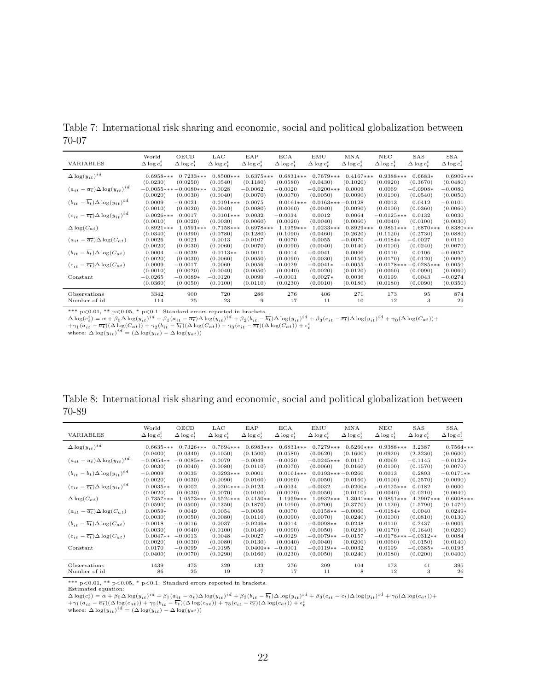|           | Table 7: International risk sharing and economic, social and political globalization between |  |  |  |  |
|-----------|----------------------------------------------------------------------------------------------|--|--|--|--|
| $70 - 07$ |                                                                                              |  |  |  |  |

| VARIABLES                                            | World               | OECD                  | LAC                     | EAP                 | <b>ECA</b>              | EMU                            | <b>MNA</b>            | NEC                 | <b>SAS</b>                         | SSA                   |
|------------------------------------------------------|---------------------|-----------------------|-------------------------|---------------------|-------------------------|--------------------------------|-----------------------|---------------------|------------------------------------|-----------------------|
|                                                      | $\Delta \log c_*^i$ | $\Delta \log c_*^i$   | $\Delta \log c_*^i$     | $\Delta \log c_*^i$ | $\Delta \log c_*^i$     | $\Delta \log c_*^i$            | $\Delta \log c_*^i$   | $\Delta \log c_t^i$ | $\Delta \log c_*^i$                | $\Delta \log c_t^i$   |
| $\Delta \log(y_{it})^{id}$                           | $0.6958***$         | $0.7233***$           | $0.8500***$             | $0.6375***$         | $0.6831***$             | $0.7679***$                    | $0.4167***$           | $0.9388***$         | $0.6683*$                          | $0.6909***$           |
|                                                      | (0.0230)            | (0.0250)              | (0.0540)                | (0.1180)            | (0.0580)                | (0.0430)                       | (0.1020)              | (0.0920)            | (0.3670)                           | (0.0480)              |
| $(a_{it} - \overline{a_t}) \Delta \log(y_{it})^{id}$ | $-0.0055***$        | $-0.0080***$          | 0.0028                  | $-0.0062$           | $-0.0020$               | $-0.0200***$                   | 0.0009                | 0.0069              | $-0.0908*$                         | $-0.0080$             |
|                                                      | (0.0020)            | (0.0030)              | (0.0040)                | (0.0070)            | (0.0070)                | (0.0050)                       | (0.0090)              | (0.0100)            | (0.0540)                           | (0.0050)              |
| $(b_{it} - \overline{b_t}) \Delta \log(y_{it})^{id}$ | 0.0009<br>(0.0010)  | $-0.0021$<br>(0.0020) | $0.0191***$<br>(0.0040) | 0.0075<br>(0.0080)  | $0.0161***$<br>(0.0060) | $0.0163***-0.0128$<br>(0.0040) | (0.0090)              | 0.0013<br>(0.0100)  | 0.0412<br>(0.0360)                 | $-0.0101$<br>(0.0060) |
| $(c_{it} - \overline{c_t}) \Delta \log(y_{it})^{id}$ | $0.0026***$         | 0.0017                | $0.0101***$             | 0.0032              | $-0.0034$               | 0.0012                         | 0.0064                | $-0.0125***$        | 0.0132                             | 0.0030                |
|                                                      | (0.0010)            | (0.0020)              | (0.0030)                | (0.0060)            | (0.0020)                | (0.0040)                       | (0.0060)              | (0.0040)            | (0.0100)                           | (0.0030)              |
| $\Delta \log(C_{at})$                                | $0.8921***$         | $1.0591***$           | $0.7158***$             | $0.6978***$         | $1.1959***$             | $1.0233***$                    | $0.8929***$           | $0.9861***$         | $1.6870***$                        | $0.8380***$           |
|                                                      | (0.0340)            | (0.0390)              | (0.0780)                | (0.1280)            | (0.1090)                | (0.0460)                       | (0.2620)              | (0.1120)            | (0.2730)                           | (0.0880)              |
| $(a_{it} - \overline{a_t}) \Delta \log(C_{at})$      | 0.0026              | 0.0021                | 0.0013                  | $-0.0107$           | 0.0070                  | 0.0055                         | $-0.0070$             | $-0.0184*$          | $-0.0027$                          | 0.0110                |
|                                                      | (0.0020)            | (0.0030)              | (0.0060)                | (0.0070)            | (0.0090)                | (0.0040)                       | (0.0140)              | (0.0100)            | (0.0240)                           | (0.0070)              |
| $(b_{it} - \overline{b_t}) \Delta \log(C_{at})$      | 0.0004              | $-0.0039$             | $0.0113**$              | 0.0011              | 0.0014                  | $-0.0041$                      | 0.0006                | 0.0110              | 0.0106                             | $-0.0057$             |
|                                                      | (0.0020)            | (0.0030)              | (0.0060)                | (0.0050)            | (0.0090)                | (0.0030)                       | (0.0150)              | (0.0170)            | (0.0120)                           | (0.0090)              |
| $(c_{it} - \overline{c_t}) \Delta \log(C_{at})$      | 0.0009<br>(0.0010)  | $-0.0017$<br>(0.0020) | 0.0060<br>(0.0040)      | 0.0056<br>(0.0050)  | $-0.0029$<br>(0.0040)   | $-0.0041*$<br>(0.0020)         | $-0.0055$<br>(0.0120) | (0.0060)            | $-0.0178***-0.0285***$<br>(0.0090) | 0.0050<br>(0.0060)    |
| Constant                                             | $-0.0265$           | $-0.0089*$            | $-0.0120$               | 0.0099              | $-0.0001$               | $0.0027*$                      | 0.0036                | 0.0199              | 0.0043                             | $-0.0274$             |
|                                                      | (0.0360)            | (0.0050)              | (0.0100)                | (0.0110)            | (0.0230)                | (0.0010)                       | (0.0180)              | (0.0180)            | (0.0090)                           | (0.0350)              |
| Observations                                         | 3342                | 900                   | 720                     | 286                 | 276                     | 406                            | 271                   | 173                 | 95                                 | 874                   |
| Number of id                                         | 114                 | 25                    | 23                      | 9                   | 17                      | 11                             | 10                    | 12                  | 3                                  | 29                    |

\*\*\* p<0.01, \*\* p<0.05, \* p<0.1. Standard errors reported in brackets.

 $\begin{array}{l} \Delta \log(c_t^i) = \alpha + \beta_0 \Delta \log(y_{it})^{id} + \beta_1 (a_{it} - \overline{a_t}) \Delta \log(y_{it})^{id} + \beta_2 (b_{it} - \overline{b_t}) \Delta \log(y_{it})^{id} + \beta_3 (c_{it} - \overline{c_t}) \Delta \log(y_{it})^{id} + \gamma_0 (\Delta \log(C_{at})) + \\ + \gamma_1 (a_{it} - \overline{a_t}) (\Delta \log(C_{at})) + \gamma_2 (b_{it} - \overline{b_t}) (\Delta \log(C_{at})) + \gamma_3 (c_{it} - \overline{c_t}) (\Delta \log(C_{at})) + \epsilon_t^$ 

|       | Table 8: International risk sharing and economic, social and political globalization between |  |  |  |
|-------|----------------------------------------------------------------------------------------------|--|--|--|
| 70-89 |                                                                                              |  |  |  |

| VARIABLES                                            | World                  | OECD                  | LAC                            | EAP                   | ECA                     | EMU                            | MNA                    | NEC                      | SAS                               | SSA                     |
|------------------------------------------------------|------------------------|-----------------------|--------------------------------|-----------------------|-------------------------|--------------------------------|------------------------|--------------------------|-----------------------------------|-------------------------|
|                                                      | $\Delta \log c_t^i$    | $\Delta \log c_t^i$   | $\Delta \log c_t^i$            | $\Delta \log c_t^i$   | $\Delta \log c_t^i$     | $\Delta \log c_t^2$            | $\Delta \log c_t^i$    | $\Delta \log c_t^i$      | $\Delta \log c_t^i$               | $\Delta \log c_t^i$     |
| $\Delta \log(y_{it})^{id}$                           | $0.6635***$            | $0.7326***$           | $0.7694***$                    | $0.6983***$           | $0.6831***$             | $0.7279***$                    | $0.5260***$            | $0.9388***$              | 3.2387                            | $0.7564***$             |
|                                                      | (0.0400)               | (0.0340)              | (0.1050)                       | (0.1500)              | (0.0580)                | (0.0620)                       | (0.1600)               | (0.0920)                 | (2.3230)                          | (0.0600)                |
| $(a_{it} - \overline{a_t}) \Delta \log(y_{it})^{id}$ | $-0.0054**$            | $-0.0085**$           | 0.0079                         | $-0.0049$             | $-0.0020$               | $-0.0245***$                   | 0.0117                 | 0.0069                   | $-0.1145$                         | $-0.0122*$              |
|                                                      | (0.0030)               | (0.0040)              | (0.0080)                       | (0.0110)              | (0.0070)                | (0.0060)                       | (0.0160)               | (0.0100)                 | (0.1570)                          | (0.0070)                |
| $(b_{it} - \overline{b_t}) \Delta \log(y_{it})^{id}$ | $-0.0009$<br>(0.0020)  | 0.0035<br>(0.0030)    | $0.0293***$<br>(0.0090)        | 0.0001<br>(0.0160)    | $0.0161***$<br>(0.0060) | $0.0193***-0.0260$<br>(0.0050) | (0.0160)               | 0.0013<br>(0.0100)       | 0.2893<br>(0.2570)                | $-0.0171**$<br>(0.0090) |
| $(c_{it} - \overline{c_t}) \Delta \log(y_{it})^{id}$ | $0.0035**$<br>(0.0020) | 0.0002<br>(0.0030)    | $0.0204***-0.0123$<br>(0.0070) | (0.0100)              | $-0.0034$<br>(0.0020)   | $-0.0032$<br>(0.0050)          | $-0.0200*$<br>(0.0110) | $-0.0125***$<br>(0.0040) | 0.0182<br>(0.0210)                | 0.0000<br>(0.0040)      |
| $\Delta \log(C_{at})$                                | $0.7357***$            | $1.0573***$           | $0.6524***$                    | $0.4150**$            | $1.1959***$             | $1.0932***$                    | $1.3041***$            | $0.9861***$              | 4.2907***                         | $0.6008***$             |
|                                                      | (0.0590)               | (0.0500)              | (0.1350)                       | (0.1870)              | (0.1090)                | (0.0700)                       | (0.3770)               | (0.1120)                 | (1.5790)                          | (0.1470)                |
| $(a_{it} - \overline{a_t}) \Delta \log(C_{at})$      | $0.0059*$              | 0.0049                | 0.0054                         | $-0.0056$             | 0.0070                  | $0.0158**$                     | $-0.0060$              | $-0.0184*$               | 0.0040                            | $0.0249*$               |
|                                                      | (0.0030)               | (0.0050)              | (0.0080)                       | (0.0110)              | (0.0090)                | (0.0070)                       | (0.0240)               | (0.0100)                 | (0.0810)                          | (0.0130)                |
| $(b_{it} - \overline{b_t}) \Delta \log(C_{at})$      | $-0.0018$              | $-0.0016$             | 0.0037                         | $-0.0246*$            | 0.0014                  | $-0.0098**$                    | 0.0248                 | 0.0110                   | 0.2437                            | $-0.0005$               |
|                                                      | (0.0030)               | (0.0040)              | (0.0100)                       | (0.0140)              | (0.0090)                | (0.0050)                       | (0.0230)               | (0.0170)                 | (0.1640)                          | (0.0260)                |
| $(c_{it} - \overline{c_t}) \Delta \log(C_{at})$      | $0.0047**$<br>(0.0020) | $-0.0013$<br>(0.0030) | 0.0048<br>(0.0080)             | $-0.0027$<br>(0.0130) | $-0.0029$<br>(0.0040)   | $-0.0079**$<br>(0.0040)        | $-0.0157$<br>(0.0200)  | (0.0060)                 | $-0.0178***-0.0312**$<br>(0.0150) | 0.0084<br>(0.0140)      |
| Constant                                             | 0.0170                 | $-0.0099$             | $-0.0195$                      | $0.0400**$            | $-0.0001$               | $-0.0119**$                    | $-0.0032$              | 0.0199                   | $-0.0385*$                        | $-0.0193$               |
|                                                      | (0.0400)               | (0.0070)              | (0.0290)                       | (0.0160)              | (0.0230)                | (0.0050)                       | (0.0240)               | (0.0180)                 | (0.0200)                          | (0.0400)                |
| Observations                                         | 1439                   | 475                   | 329                            | 133                   | 276                     | 209                            | 104                    | 173                      | 41                                | 395                     |
| Number of id                                         | 86                     | 25                    | 19                             | 7                     | 17                      | 11                             | 8                      | 12                       | 3                                 | 26                      |

\*\*\* p<0.01, \*\* p<0.05, \* p<0.1. Standard errors reported in brackets. Estimated equation:

 $\begin{array}{l} \Delta \log(\epsilon_{t}^{i})=\alpha+\beta_{0} \Delta \log(y_{it})^{id}+\beta_{1}(a_{it}-\overline{a_{t}}) \Delta \log(y_{it})^{id}+\beta_{2}(b_{it}-\overline{b_{t}}) \Delta \log(y_{it})^{id}+\beta_{3}(c_{it}-\overline{c_{t}}) \Delta \log(y_{it})^{id}+\gamma_{0}(\Delta \log(c_{at}))+\\+\gamma_{1}(a_{it}-\overline{a_{t}})(\Delta \log(c_{at}))+\gamma_{2}(b_{it}-\overline{b_{t}})(\Delta \log(c_{at}))+\gamma_{3}(c_{it}-\overline{c_{t}})(\Delta \log(c_{at}))+$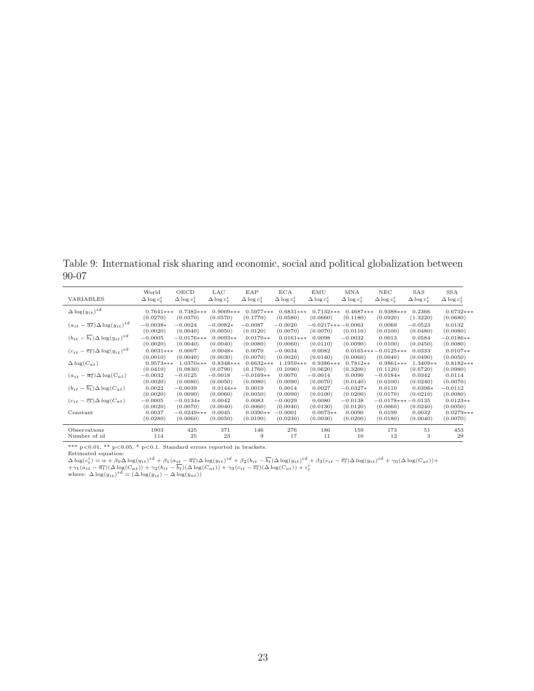Table 9: International risk sharing and economic, social and political globalization between 90-07

| VARIABLES                                            | World                   | OECD                   | LAC                    | EAP                   | <b>ECA</b>            | EMU                             | MNA                   | NEC                               | SAS                   | SSA                    |
|------------------------------------------------------|-------------------------|------------------------|------------------------|-----------------------|-----------------------|---------------------------------|-----------------------|-----------------------------------|-----------------------|------------------------|
|                                                      | $\Delta \log c_t^2$     | $\Delta \log c_t^i$    | $\Delta \log c_t^2$    | $\Delta \log c_t^2$   | $\Delta \log c_t^2$   | $\Delta \log c_t^2$             | $\Delta \log c_t^i$   | $\Delta \log c_t^2$               | $\Delta \log c_t^2$   | $\Delta \log c_t^2$    |
| $\Delta \log(y_{it})^{id}$                           | $0.7641***$             | $0.7382***$            | $0.9009***$            | $0.5977***$           | $0.6831***$           | $0.7132***$                     | $0.4687***$           | $0.9388***$                       | 0.2366                | $0.6732***$            |
| $(a_{it} - \overline{a_t}) \Delta \log(y_{it})^{id}$ | (0.0270)<br>$-0.0038*$  | (0.0370)<br>$-0.0024$  | (0.0570)<br>$-0.0082*$ | (0.1770)<br>$-0.0087$ | (0.0580)<br>$-0.0020$ | (0.0660)<br>$-0.0217***-0.0063$ | (0.1180)              | (0.0920)<br>0.0069                | (1.3220)<br>$-0.0523$ | (0.0680)<br>0.0132     |
| $(b_{it} - \overline{b_t}) \Delta \log(y_{it})^{id}$ | (0.0020)                | (0.0040)               | (0.0050)               | (0.0120)              | (0.0070)              | (0.0070)                        | (0.0110)              | (0.0100)                          | (0.0480)              | (0.0080)               |
|                                                      | $-0.0005$               | $-0.0176***$           | $0.0093**$             | $0.0170**$            | $0.0161***$           | 0.0098                          | $-0.0032$             | 0.0013                            | 0.0584                | $-0.0186**$            |
|                                                      | (0.0020)                | (0.0040)               | (0.0040)               | (0.0080)              | (0.0060)              | (0.0110)                        | (0.0090)              | (0.0100)                          | (0.0450)              | (0.0080)               |
| $(c_{it} - \overline{c_t}) \Delta \log(y_{it})^{id}$ | $0.0031***$<br>(0.0010) | 0.0007<br>(0.0040)     | $0.0048*$<br>(0.0030)  | 0.0070<br>(0.0070)    | $-0.0034$<br>(0.0020) | 0.0082<br>(0.0140)              | (0.0060)              | $0.0165***-0.0125***$<br>(0.0040) | 0.0333<br>(0.0490)    | $0.0107**$<br>(0.0050) |
| $\Delta \log(C_{at})$                                | $0.9573***$             | $1.0370***$            | $0.8348***$            | $0.6632***$           | $1.1959***$           | $0.9386***$                     | $0.7812**$            | $0.9861***$                       | 1.3409**              | $0.8182***$            |
|                                                      | (0.0410)                | (0.0830)               | (0.0790)               | (0.1760)              | (0.1090)              | (0.0620)                        | (0.3200)              | (0.1120)                          | (0.6720)              | (0.0980)               |
| $(a_{it} - \overline{a_t}) \Delta \log(C_{at})$      | $-0.0032$               | $-0.0125$              | $-0.0018$              | $-0.0169**$           | 0.0070                | $-0.0014$                       | 0.0090                | $-0.0184*$                        | 0.0342                | 0.0114                 |
|                                                      | (0.0020)                | (0.0080)               | (0.0050)               | (0.0080)              | (0.0090)              | (0.0070)                        | (0.0140)              | (0.0100)                          | (0.0240)              | (0.0070)               |
| $(b_{it} - \overline{b_t}) \Delta \log(C_{at})$      | 0.0022                  | $-0.0039$              | $0.0144**$             | 0.0019                | 0.0014                | 0.0027                          | $-0.0327*$            | 0.0110                            | $0.0396*$             | $-0.0112$              |
| $(c_{it} - \overline{c_t}) \Delta \log(C_{at})$      | (0.0020)<br>$-0.0005$   | (0.0090)<br>$-0.0134*$ | (0.0060)<br>0.0042     | (0.0050)<br>0.0083    | (0.0090)<br>$-0.0029$ | (0.0100)<br>0.0080              | (0.0200)<br>$-0.0138$ | (0.0170)<br>$-0.0178***-0.0135$   | (0.0210)              | (0.0080)<br>$0.0123**$ |
| Constant                                             | (0.0020)                | (0.0070)               | (0.0040)               | (0.0060)              | (0.0040)              | (0.0130)                        | (0.0120)              | (0.0060)                          | (0.0240)              | (0.0050)               |
|                                                      | 0.0037                  | $-0.0249***$           | 0.0045                 | $0.0390**$            | $-0.0001$             | $0.0073**$                      | 0.0090                | 0.0199                            | 0.0032                | $0.0279***$            |
|                                                      | (0.0280)                | (0.0060)               | (0.0050)               | (0.0190)              | (0.0230)              | (0.0030)                        | (0.0200)              | (0.0180)                          | (0.0040)              | (0.0070)               |
| Observations                                         | 1903                    | 425                    | 371                    | 146                   | 276                   | 186                             | 159                   | 173                               | 51                    | 453                    |
| Number of id                                         | 114                     | 25                     | 23                     | 9                     | 17                    | 11                              | 10                    | 12                                | 3                     | 29                     |

\*\*\* p<0.01, \*\* p<0.05, \* p<0.1. Standard errors reported in brackets. Estimated equation:

 $\begin{array}{l} \Delta \log(c_t^i) = \alpha + \beta_0 \Delta \log(y_{it})^{id} + \beta_1 (a_{it} - \overline{a_t}) \Delta \log(y_{it})^{id} + \beta_2 (b_{it} - \overline{b_t}) \Delta \log(y_{it})^{id} + \beta_3 (c_{it} - \overline{c_t}) \Delta \log(y_{it})^{id} + \gamma_0 (\Delta \log(C_{at})) + \\ + \gamma_1 (a_{it} - \overline{a_t}) (\Delta \log(C_{at})) + \gamma_2 (b_{it} - \overline{b_t}) (\Delta \log(C_{at})) + \gamma_3 (c_{it} - \overline{c_t}) (\Delta \log(C_{at})) + \epsilon_t^$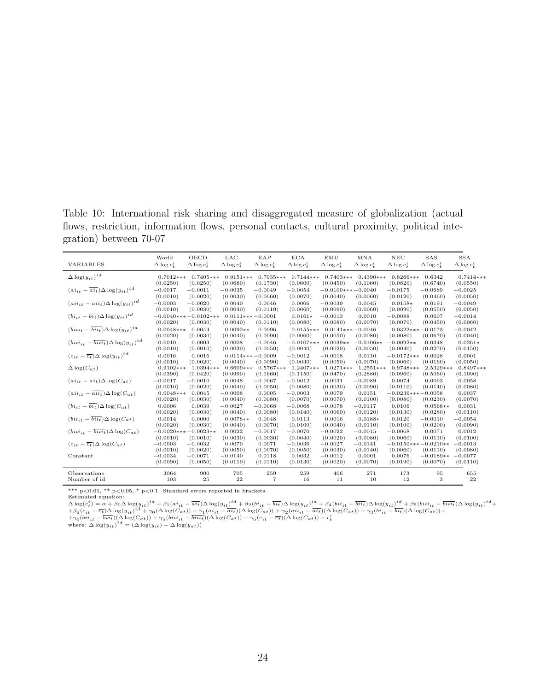Table 10: International risk sharing and disaggregated measure of globalization (actual flows, restriction, information flows, personal contacts, cultural proximity, political integration) between 70-07

|                                                           | World                 | OECD                   | LAC                 | EAP                 | <b>ECA</b>            | EMU                   | MNA                   | $_{\rm NEC}$             | SAS                     | <b>SSA</b>            |
|-----------------------------------------------------------|-----------------------|------------------------|---------------------|---------------------|-----------------------|-----------------------|-----------------------|--------------------------|-------------------------|-----------------------|
| VARIABLES                                                 | $\Delta \log c_t^2$   | $\Delta \log c_t^2$    | $\Delta \log c_t^2$ | $\Delta \log c_t^2$ | $\Delta \log c_t^i$   | $\Delta \log c_t^i$   | $\Delta \log c_t^2$   | $\Delta \log c_t^2$      | $\Delta \log c_t^2$     | $\Delta \log c_t^i$   |
| $\Delta \log(y_{it})^{id}$                                | $0.7012***$           | $0.7405***$            | $0.9151***$         | $0.7935***$         | $0.7144***$           | $0.7403***$           | $0.4390***$           | $0.8266***$              | 0.6342                  | $0.7414***$           |
|                                                           | (0.0250)              | (0.0250)               | (0.0680)            | (0.1730)            | (0.0600)              | (0.0450)              | (0.1060)              | (0.0820)                 | (0.6740)                | (0.0550)              |
| $(ai_{it} - \overline{ai_t}) \Delta \log(y_{it})^{id}$    | $-0.0017$             | $-0.0011$              | $-0.0035$           | $-0.0049$           | $-0.0054$             | $-0.0100***-0.0040$   |                       | $-0.0175$                | $-0.0689$               | $-0.0025$             |
|                                                           | (0.0010)              | (0.0020)               | (0.0030)            | (0.0060)            | (0.0070)              | (0.0040)              | (0.0060)              | (0.0120)                 | (0.0460)                | (0.0050)              |
| $(ai_{it} - \overline{ai_{it}}) \Delta \log(y_{it})^{id}$ | $-0.0003$             | $-0.0020$              | 0.0040              | 0.0046              | 0.0006                | $-0.0039$             | 0.0045                | $0.0158*$                | 0.0191                  | $-0.0049$             |
|                                                           | (0.0010)              | (0.0030)               | (0.0040)            | (0.0110)            | (0.0060)              | (0.0090)              | (0.0060)              | (0.0090)                 | (0.0550)                | (0.0050)              |
| $(b_{ijt} - \overline{bi_t}) \Delta \log(y_{it})^{id}$    |                       | $-0.0040***-0.0102***$ |                     | $0.0111***-0.0001$  | $0.0161*$             | $-0.0013$             | 0.0010                | $-0.0088$                | 0.0607                  | $-0.0014$             |
|                                                           | (0.0020)              | (0.0030)               | (0.0040)            | (0.0110)            | (0.0080)              | (0.0080)              | (0.0070)              | (0.0070)                 | (0.0450)                | (0.0060)              |
| $(bii_{it} - \overline{bii_t}) \Delta \log(y_{it})^{id}$  | $0.0048***$           | 0.0044                 | $0.0092**$          | 0.0096              | $0.0155***$           | $0.0141***-0.0046$    |                       | $0.0322***$              | $-0.0173$               | $-0.0042$             |
|                                                           | (0.0020)              | (0.0030)               | (0.0040)            | (0.0090)            | (0.0060)              | (0.0050)              | (0.0080)              | (0.0080)                 | (0.0670)                | (0.0040)              |
| $(biii_{it} - \overline{biii_t})\Delta \log(y_{it})^{id}$ | $-0.0010$             | 0.0003                 | 0.0008              | $-0.0046$           | $-0.0107***$          | $0.0039**$            | $-0.0106**$           | $-0.0092**$              | 0.0348                  | $0.0261*$             |
|                                                           | (0.0010)              | (0.0010)               | (0.0030)            | (0.0050)            | (0.0040)              | (0.0020)              | (0.0050)              | (0.0040)                 | (0.0270)                | (0.0150)              |
| $(c_{it}-\overline{c_{t}})\Delta \log(y_{it})^{id}$       | 0.0016                | 0.0016                 |                     | $0.0114***-0.0009$  | $-0.0012$             | $-0.0018$             | 0.0110                | $-0.0172***$             | 0.0028                  | 0.0001                |
|                                                           | (0.0010)              | (0.0020)               | (0.0040)            | (0.0090)            | (0.0030)              | (0.0050)              | (0.0070)              | (0.0060)                 | (0.0160)                | (0.0050)              |
| $\Delta \log(C_{at})$                                     | $0.9102***$           | $1.0394***$            | $0.6609***$         | $0.5767***$         | $1.2407***$           | $1.0271***$           | $1.2551***$           | $0.9748***$              | $2.5329***$             | $0.8497***$           |
|                                                           | (0.0390)              | (0.0420)               | (0.0990)            | (0.1660)            | (0.1150)              | (0.0470)              | (0.2880)              | (0.0960)                 | (0.5060)                | (0.1090)              |
| $(ai_{it} - \overline{ai_{t}}) \Delta \log(C_{at})$       | $-0.0017$             | $-0.0010$              | 0.0048              | $-0.0067$           | $-0.0012$             | 0.0031                | $-0.0089$             | 0.0074                   | 0.0093                  | 0.0058                |
|                                                           | (0.0010)              | (0.0020)               | (0.0040)            | (0.0050)            | (0.0080)              | (0.0030)              | (0.0090)              | (0.0110)                 | (0.0140)                | (0.0080)              |
| $(ai_{ijt} - \overline{ai_{it}}) \Delta \log(C_{at})$     | $0.0048***$           | 0.0045                 | $-0.0008$           | 0.0005              | $-0.0003$             | 0.0079                | 0.0151                | $-0.0236***$             | $-0.0058$               | 0.0037                |
|                                                           | (0.0020)              | (0.0030)               | (0.0040)            | (0.0080)            | (0.0070)              | (0.0070)              | (0.0100)              | (0.0080)                 | (0.0230)                | (0.0070)              |
| $(bi_{it} - \overline{bi_{t}}) \Delta \log(C_{at})$       | 0.0006                | 0.0039                 | $-0.0027$           | $-0.0068$           | $-0.0068$             | $-0.0078$             | $-0.0117$             | 0.0106                   | $0.0568**$              | 0.0031                |
|                                                           | (0.0020)              | (0.0030)               | (0.0040)            | (0.0080)            | (0.0140)              | (0.0060)              | (0.0120)              | (0.0130)                 | (0.0280)                | (0.0110)              |
| $(bii_{it} - \overline{bii_t})\Delta \log(C_{at})$        | 0.0014                | 0.0000                 | $0.0078**$          | 0.0048              | 0.0113                | 0.0016                | $0.0188*$             | 0.0120                   | $-0.0010$               | $-0.0054$             |
|                                                           | (0.0020)              | (0.0030)               | (0.0040)            | (0.0070)            | (0.0100)              | (0.0040)              | (0.0110)              | (0.0100)                 | (0.0200)                | (0.0090)              |
| $(biii_{it} - \overline{biii_{t}}) \Delta \log(C_{at})$   |                       | $-0.0020***-0.0023**$  | 0.0022              | $-0.0017$           | $-0.0070$             | $-0.0022$             | $-0.0015$             | $-0.0068$                | 0.0071                  | 0.0012                |
|                                                           | (0.0010)              | (0.0010)<br>$-0.0032$  | (0.0030)<br>0.0070  | (0.0030)<br>0.0071  | (0.0040)<br>$-0.0036$ | (0.0020)<br>$-0.0027$ | (0.0080)<br>$-0.0141$ | (0.0060)<br>$-0.0150***$ | (0.0110)<br>$-0.0210**$ | (0.0100)<br>$-0.0013$ |
| $(c_{it} - \overline{c_t}) \Delta \log(C_{at})$           | $-0.0003$<br>(0.0010) | (0.0020)               | (0.0050)            | (0.0070)            | (0.0050)              | (0.0030)              | (0.0140)              | (0.0060)                 | (0.0110)                | (0.0080)              |
| Constant                                                  | $-0.0034$             | $-0.0071$              | $-0.0140$           | 0.0118              | 0.0032                | $-0.0012$             | 0.0001                | 0.0076                   | $-0.0189**$             | $-0.0077$             |
|                                                           | (0.0090)              | (0.0050)               | (0.0110)            | (0.0110)            | (0.0130)              | (0.0020)              | (0.0070)              | (0.0190)                 | (0.0070)                | (0.0110)              |
|                                                           |                       |                        |                     |                     |                       |                       |                       |                          |                         |                       |
| Observations                                              | 3064                  | 900                    | 705                 | 259                 | 259                   | 406                   | 271                   | 173                      | 95                      | 655                   |
| Number of id                                              | 103                   | 25                     | 22                  | 7                   | 16                    | 11                    | 10                    | 12                       | 3                       | 22                    |

\*\*\* p<0.01, \*\* p<0.05, \* p<0.1. Standard errors reported in brackets.<br>Estimated equation:<br> $\Delta \log(c_t^i) = \alpha + \beta_0 \Delta \log(y_{it})^{id} + \beta_1 (ai_{it} - \overline{ai_t}) \Delta \log(y_{it})^{id} + \beta_2 (bi_{it} - \overline{bi_t}) \Delta \log(y_{it})^{id} + \beta_4 (bi_{it} - \overline{bi_t}) \Delta \log(y_{it})^{id} + \beta_5 (biii_{it} - \overline$  $+\beta_6(c_{it}-\overline{c_t})\Delta\log(y_{it})^{id}+\gamma_0(\Delta\log(C_{at}))+\gamma_1(a_{it} -\overline{ai_t})(\Delta\log(C_{at})) +\gamma_2(a_{it} +\overline{ai_t})(\Delta\log(C_{at})) +\gamma_3(b_{it} -\overline{bi_t})(\Delta\log(C_{at}))+\gamma_4(b_{it} +\overline{bi_t})(\Delta\log(C_{at}))+\gamma_5(b_{it} +\overline{bi_t})(\Delta\log(C_{at}))+\gamma_6(b_{it} +\overline{bi_t})(\Delta\log(C_{at}))+\gamma_6(c_{it} -\overline{c_t})(\Delta\log(C_{at})) +\epsilon_t^i$ <br>wher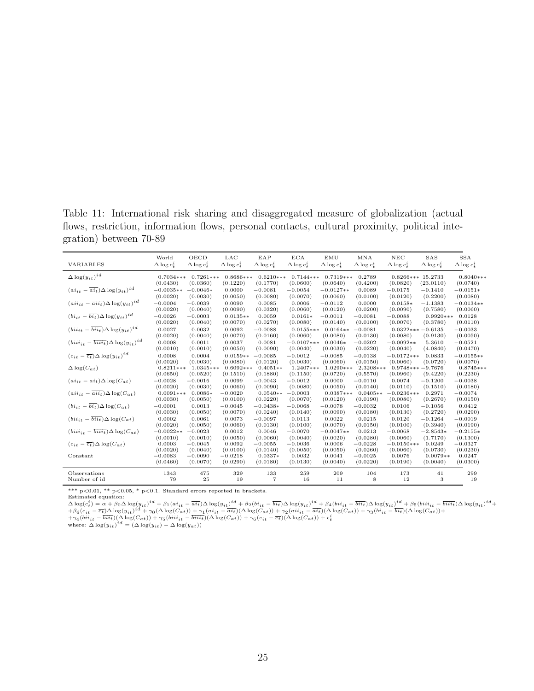Table 11: International risk sharing and disaggregated measure of globalization (actual flows, restriction, information flows, personal contacts, cultural proximity, political integration) between 70-89

|                                                            | World               | OECD                  | LAC                 | EAP                 | <b>ECA</b>            | EMU                 | MNA                 | NEC                   | SAS                    | <b>SSA</b>            |
|------------------------------------------------------------|---------------------|-----------------------|---------------------|---------------------|-----------------------|---------------------|---------------------|-----------------------|------------------------|-----------------------|
| VARIABLES                                                  | $\Delta \log c_t^i$ | $\Delta \log c_t^2$   | $\Delta \log c_t^i$ | $\Delta \log c_t^2$ | $\Delta \log c_t^i$   | $\Delta \log c_t^i$ | $\Delta \log c_t^i$ | $\Delta \log c_t^i$   | $\Delta \log c_t^2$    | $\Delta \log c_t^i$   |
| $\Delta \log(y_{it})^{id}$                                 | $0.7034***$         | $0.7261***$           | $0.8686***$         | $0.6210***$         | $0.7144***$           | $0.7319***$         | 0.2789              | $0.8266***15.2733$    |                        | $0.8040**$            |
|                                                            | (0.0430)            | (0.0360)              | (0.1220)            | (0.1770)            | (0.0600)              | (0.0640)            | (0.4200)            | (0.0820)              | (23.0110)              | (0.0740)              |
| $(ai_{it} - \overline{ai_t}) \Delta \log(y_{it})^{id}$     | $-0.0035**$         | $-0.0046*$            | 0.0000              | $-0.0081$           | $-0.0054$             | $-0.0127**$         | 0.0089              | $-0.0175$             | $-0.1410$              | $-0.0151*$            |
|                                                            | (0.0020)            | (0.0030)              | (0.0050)            | (0.0080)            | (0.0070)              | (0.0060)            | (0.0100)            | (0.0120)              | (0.2200)               | (0.0080)              |
| $(ai_{it} - \overline{ai_{it}}) \Delta \log(y_{it})^{id}$  | $-0.0004$           | $-0.0039$             | 0.0090              | 0.0085              | 0.0006                | $-0.0112$           | 0.0000              | $0.0158*$             | $-1.1383$              | $-0.0134**$           |
|                                                            | (0.0020)            | (0.0040)              | (0.0090)            | (0.0320)            | (0.0060)              | (0.0120)            | (0.0200)            | (0.0090)              | (0.7580)               | (0.0060)              |
| $(b_{ijt} - \overline{bi_t}) \Delta \log(y_{it})^{id}$     | $-0.0026$           | $-0.0003$             | $0.0135**$          | 0.0059              | $0.0161*$             | $-0.0011$           | $-0.0081$           | $-0.0088$             | $0.9920***$            | 0.0128                |
|                                                            | (0.0020)            | (0.0040)              | (0.0070)            | (0.0270)            | (0.0080)              | (0.0140)            | (0.0100)            | (0.0070)              | (0.3780)               | (0.0110)              |
| $(bii_{it} - \overline{bii_t})\Delta \log(u_{it})^{id}$    | 0.0027              | 0.0032                | 0.0092              | $-0.0088$           | $0.0155***$           | $0.0164**$          | $-0.0081$           | $0.0322***-0.6135$    |                        | $-0.0033$             |
|                                                            | (0.0020)            | (0.0040)              | (0.0070)            | (0.0160)            | (0.0060)              | (0.0080)            | (0.0130)            | (0.0080)              | (0.9130)               | (0.0050)              |
| $(biii_{it} - \overline{biii_t}) \Delta \log(y_{it})^{id}$ | 0.0008              | 0.0011                | 0.0037              | 0.0081              | $-0.0107***$          | $0.0046*$           | $-0.0202$           | $-0.0092**$           | 5.3610                 | $-0.0521$             |
|                                                            | (0.0010)            | (0.0010)              | (0.0050)            | (0.0090)            | (0.0040)              | (0.0030)            | (0.0220)            | (0.0040)              | (4.0840)               | (0.0470)              |
| $(c_{it}-\overline{c_{t}})\Delta \log(y_{it})^{id}$        | 0.0008              | 0.0004                | $0.0159**$          | $-0.0085$           | $-0.0012$             | $-0.0085$           | $-0.0138$           | $-0.0172***$          | 0.0833                 | $-0.0155**$           |
|                                                            | (0.0020)            | (0.0030)              | (0.0080)            | (0.0120)            | (0.0030)              | (0.0060)            | (0.0150)            | (0.0060)              | (0.0720)               | (0.0070)              |
| $\Delta \log(C_{at})$                                      | $0.8211***$         | 1.0345***             | $0.6092***$         | $0.4051**$          | $1.2407***$           | $1.0290***$         | $2.3208***$         | $0.9748***$           | $-9.7676$              | $0.8745***$           |
|                                                            | (0.0650)            | (0.0520)              | (0.1510)            | (0.1880)            | (0.1150)              | (0.0720)            | (0.5570)            | (0.0960)              | (9.4220)               | (0.2230)              |
| $(ai_{it} - \overline{ai_{t}}) \Delta \log(C_{at})$        | $-0.0028$           | $-0.0016$             | 0.0099              | $-0.0043$           | $-0.0012$             | 0.0000              | $-0.0110$           | 0.0074                | $-0.1200$              | $-0.0038$             |
|                                                            | (0.0020)            | (0.0030)              | (0.0060)            | (0.0090)            | (0.0080)              | (0.0050)            | (0.0140)            | (0.0110)              | (0.1510)               | (0.0180)              |
| $(ai_{ijt} - \overline{ai_{it}}) \Delta \log(C_{at})$      | $0.0091***$         | $0.0086*$             | $-0.0020$           | $0.0540**$          | $-0.0003$             | $0.0387***$         | $0.0405**$          | $-0.0236***$          | 0.2971                 | $-0.0074$             |
|                                                            | (0.0030)            | (0.0050)              | (0.0100)            | (0.0220)            | (0.0070)              | (0.0120)            | (0.0190)            | (0.0080)              | (0.2670)               | (0.0150)              |
| $(bi_{it} - \overline{bi_{t}}) \Delta \log(C_{at})$        | $-0.0001$           | 0.0013                | $-0.0045$           | $-0.0438*$          | $-0.0068$             | $-0.0078$           | $-0.0032$           | 0.0106                | $-0.1056$              | 0.0412                |
|                                                            | (0.0030)            | (0.0050)              | (0.0070)            | (0.0240)            | (0.0140)              | (0.0090)            | (0.0180)            | (0.0130)              | (0.2720)               | (0.0290)              |
| $(bii_{it} - \overline{bii_t})\Delta \log(C_{at})$         | 0.0002              | 0.0061                | 0.0073              | $-0.0097$           | 0.0113                | 0.0022              | 0.0215              | 0.0120                | $-0.1264$              | $-0.0019$             |
|                                                            | (0.0020)            | (0.0050)              | (0.0060)            | (0.0130)            | (0.0100)              | (0.0070)            | (0.0150)            | (0.0100)              | (0.3940)               | (0.0190)              |
| $(biii_{it} - \overline{biii_t})\Delta \log(C_{at})$       | $-0.0022**$         | $-0.0023$             | 0.0012<br>(0.0050)  | 0.0046<br>(0.0060)  | $-0.0070$             | $-0.0047**$         | 0.0213<br>(0.0280)  | $-0.0068$<br>(0.0060) | $-2.8543*$<br>(1.7170) | $-0.2155*$            |
| $(c_{it} - \overline{c_t}) \Delta \log(C_{at})$            | (0.0010)<br>0.0003  | (0.0010)<br>$-0.0045$ | 0.0092              | $-0.0055$           | (0.0040)<br>$-0.0036$ | (0.0020)<br>0.0006  | $-0.0228$           | $-0.0150***$          | 0.0249                 | (0.1300)<br>$-0.0327$ |
|                                                            | (0.0020)            | (0.0040)              | (0.0100)            | (0.0140)            | (0.0050)              | (0.0050)            | (0.0260)            | (0.0060)              | (0.0730)               | (0.0230)              |
| Constant                                                   | $-0.0083$           | $-0.0090$             | $-0.0218$           | $0.0337*$           | 0.0032                | 0.0041              | $-0.0025$           | 0.0076                | $0.0079**$             | 0.0247                |
|                                                            | (0.0460)            | (0.0070)              | (0.0290)            | (0.0180)            | (0.0130)              | (0.0040)            | (0.0220)            | (0.0190)              | (0.0040)               | (0.0300)              |
|                                                            |                     |                       |                     |                     |                       |                     |                     |                       |                        |                       |
| Observations                                               | 1343                | 475                   | 329                 | 133                 | 259                   | 209                 | 104                 | 173                   | 41                     | 299                   |
| Number of id                                               | 79                  | 25                    | 19                  | 7                   | 16                    | 11                  | 8                   | 12                    | 3                      | 19                    |

\*\*\* p<0.01, \*\* p<0.05, \* p<0.1. Standard errors reported in brackets.<br>Estimated equation:<br> $\Delta \log(c_t^i) = \alpha + \beta_0 \Delta \log(y_{it})^{id} + \beta_1 (ai_{it} - \overline{ai_t}) \Delta \log(y_{it})^{id} + \beta_2 (bi_{it} - \overline{bi_t}) \Delta \log(y_{it})^{id} + \beta_4 (bi_{it} - \overline{bi_t}) \Delta \log(y_{it})^{id} + \beta_5 (biii_{it} - \overline$  $+\beta_6(c_{it}-\overline{c_t})\Delta\log(y_{it})^{id}+\gamma_0(\Delta\log(C_{at}))+\gamma_1(a_{it} -\overline{ai_t})(\Delta\log(C_{at})) +\gamma_2(a_{it} +\overline{ai_t})(\Delta\log(C_{at})) +\gamma_3(b_{it} -\overline{bi_t})(\Delta\log(C_{at}))+\gamma_4(b_{it} +\overline{bi_t})(\Delta\log(C_{at}))+\gamma_5(b_{it} +\overline{bi_t})(\Delta\log(C_{at}))+\gamma_6(b_{it} +\overline{bi_t})(\Delta\log(C_{at}))+\gamma_6(c_{it} -\overline{c_t})(\Delta\log(C_{at})) +\epsilon_t^i$ <br>wher